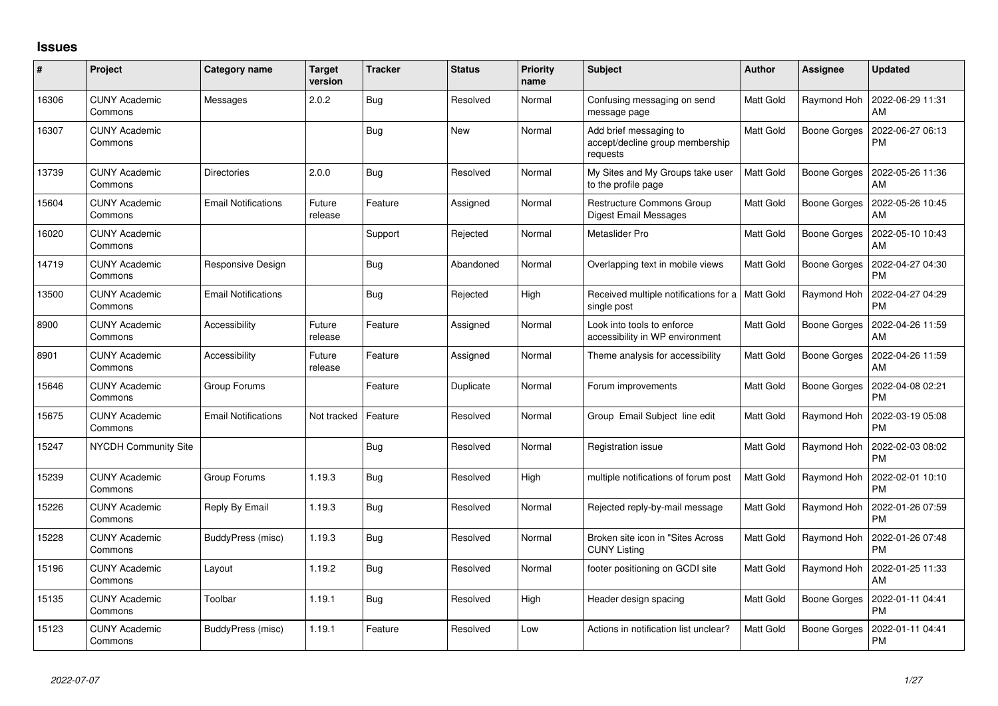## **Issues**

| #     | Project                         | <b>Category name</b>       | <b>Target</b><br>version | <b>Tracker</b> | <b>Status</b> | <b>Priority</b><br>name | Subject                                                               | <b>Author</b>    | Assignee            | <b>Updated</b>                |
|-------|---------------------------------|----------------------------|--------------------------|----------------|---------------|-------------------------|-----------------------------------------------------------------------|------------------|---------------------|-------------------------------|
| 16306 | <b>CUNY Academic</b><br>Commons | Messages                   | 2.0.2                    | Bug            | Resolved      | Normal                  | Confusing messaging on send<br>message page                           | <b>Matt Gold</b> | Raymond Hoh         | 2022-06-29 11:31<br>AM        |
| 16307 | <b>CUNY Academic</b><br>Commons |                            |                          | <b>Bug</b>     | New           | Normal                  | Add brief messaging to<br>accept/decline group membership<br>requests | Matt Gold        | Boone Gorges        | 2022-06-27 06:13<br><b>PM</b> |
| 13739 | <b>CUNY Academic</b><br>Commons | Directories                | 2.0.0                    | Bug            | Resolved      | Normal                  | My Sites and My Groups take user<br>to the profile page               | <b>Matt Gold</b> | <b>Boone Gorges</b> | 2022-05-26 11:36<br>AM        |
| 15604 | <b>CUNY Academic</b><br>Commons | <b>Email Notifications</b> | Future<br>release        | Feature        | Assigned      | Normal                  | Restructure Commons Group<br><b>Digest Email Messages</b>             | Matt Gold        | <b>Boone Gorges</b> | 2022-05-26 10:45<br>AM        |
| 16020 | <b>CUNY Academic</b><br>Commons |                            |                          | Support        | Rejected      | Normal                  | Metaslider Pro                                                        | <b>Matt Gold</b> | Boone Gorges        | 2022-05-10 10:43<br>AM        |
| 14719 | <b>CUNY Academic</b><br>Commons | Responsive Design          |                          | Bug            | Abandoned     | Normal                  | Overlapping text in mobile views                                      | Matt Gold        | Boone Gorges        | 2022-04-27 04:30<br><b>PM</b> |
| 13500 | <b>CUNY Academic</b><br>Commons | <b>Email Notifications</b> |                          | Bug            | Rejected      | High                    | Received multiple notifications for a   Matt Gold<br>single post      |                  | Raymond Hoh         | 2022-04-27 04:29<br><b>PM</b> |
| 8900  | <b>CUNY Academic</b><br>Commons | Accessibility              | Future<br>release        | Feature        | Assigned      | Normal                  | Look into tools to enforce<br>accessibility in WP environment         | Matt Gold        | Boone Gorges        | 2022-04-26 11:59<br>AM        |
| 8901  | <b>CUNY Academic</b><br>Commons | Accessibility              | Future<br>release        | Feature        | Assigned      | Normal                  | Theme analysis for accessibility                                      | Matt Gold        | Boone Gorges        | 2022-04-26 11:59<br>AM        |
| 15646 | <b>CUNY Academic</b><br>Commons | Group Forums               |                          | Feature        | Duplicate     | Normal                  | Forum improvements                                                    | <b>Matt Gold</b> | <b>Boone Gorges</b> | 2022-04-08 02:21<br><b>PM</b> |
| 15675 | <b>CUNY Academic</b><br>Commons | <b>Email Notifications</b> | Not tracked              | Feature        | Resolved      | Normal                  | Group Email Subject line edit                                         | <b>Matt Gold</b> | Raymond Hoh         | 2022-03-19 05:08<br><b>PM</b> |
| 15247 | NYCDH Community Site            |                            |                          | Bug            | Resolved      | Normal                  | Registration issue                                                    | <b>Matt Gold</b> | Raymond Hoh         | 2022-02-03 08:02<br><b>PM</b> |
| 15239 | <b>CUNY Academic</b><br>Commons | Group Forums               | 1.19.3                   | Bug            | Resolved      | High                    | multiple notifications of forum post                                  | Matt Gold        | Raymond Hoh         | 2022-02-01 10:10<br><b>PM</b> |
| 15226 | <b>CUNY Academic</b><br>Commons | Reply By Email             | 1.19.3                   | Bug            | Resolved      | Normal                  | Rejected reply-by-mail message                                        | <b>Matt Gold</b> | Raymond Hoh         | 2022-01-26 07:59<br><b>PM</b> |
| 15228 | <b>CUNY Academic</b><br>Commons | BuddyPress (misc)          | 1.19.3                   | Bug            | Resolved      | Normal                  | Broken site icon in "Sites Across<br><b>CUNY Listing</b>              | Matt Gold        | Raymond Hoh         | 2022-01-26 07:48<br><b>PM</b> |
| 15196 | <b>CUNY Academic</b><br>Commons | Layout                     | 1.19.2                   | Bug            | Resolved      | Normal                  | footer positioning on GCDI site                                       | Matt Gold        | Raymond Hoh         | 2022-01-25 11:33<br>AM        |
| 15135 | <b>CUNY Academic</b><br>Commons | Toolbar                    | 1.19.1                   | Bug            | Resolved      | High                    | Header design spacing                                                 | <b>Matt Gold</b> | <b>Boone Gorges</b> | 2022-01-11 04:41<br>PM        |
| 15123 | CUNY Academic<br>Commons        | BuddyPress (misc)          | 1.19.1                   | Feature        | Resolved      | Low                     | Actions in notification list unclear?                                 | <b>Matt Gold</b> | <b>Boone Gorges</b> | 2022-01-11 04:41<br><b>PM</b> |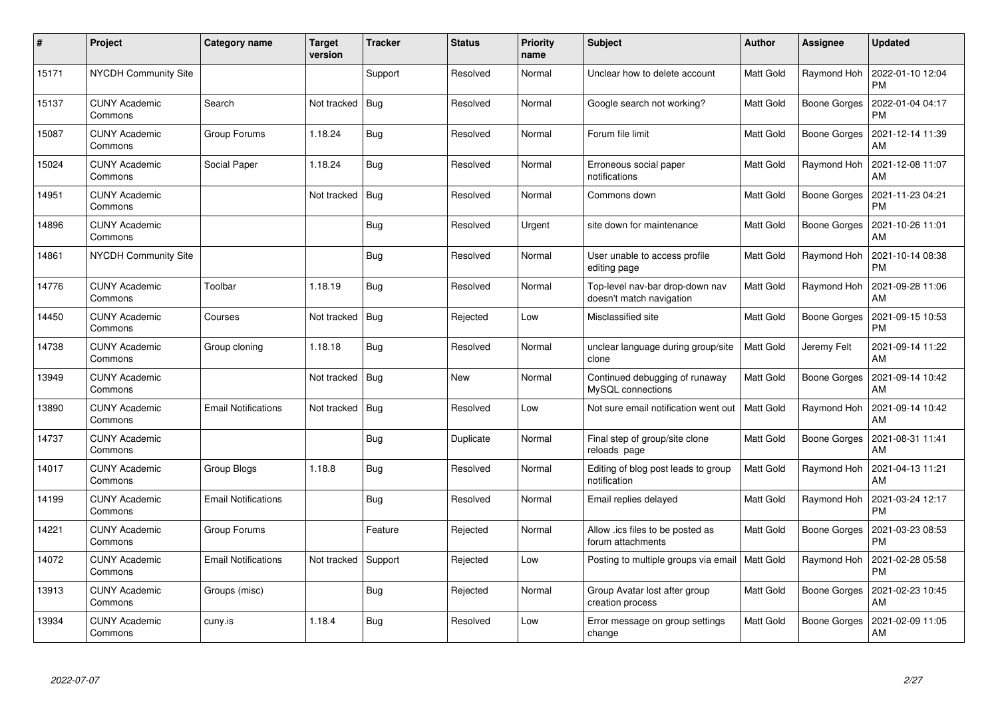| $\pmb{\#}$ | Project                         | <b>Category name</b>       | <b>Target</b><br>version | <b>Tracker</b> | <b>Status</b> | <b>Priority</b><br>name | <b>Subject</b>                                              | <b>Author</b>    | <b>Assignee</b>     | <b>Updated</b>                |
|------------|---------------------------------|----------------------------|--------------------------|----------------|---------------|-------------------------|-------------------------------------------------------------|------------------|---------------------|-------------------------------|
| 15171      | <b>NYCDH Community Site</b>     |                            |                          | Support        | Resolved      | Normal                  | Unclear how to delete account                               | <b>Matt Gold</b> | Raymond Hoh         | 2022-01-10 12:04<br><b>PM</b> |
| 15137      | <b>CUNY Academic</b><br>Commons | Search                     | Not tracked              | <b>Bug</b>     | Resolved      | Normal                  | Google search not working?                                  | Matt Gold        | Boone Gorges        | 2022-01-04 04:17<br><b>PM</b> |
| 15087      | <b>CUNY Academic</b><br>Commons | Group Forums               | 1.18.24                  | <b>Bug</b>     | Resolved      | Normal                  | Forum file limit                                            | <b>Matt Gold</b> | <b>Boone Gorges</b> | 2021-12-14 11:39<br>AM        |
| 15024      | <b>CUNY Academic</b><br>Commons | Social Paper               | 1.18.24                  | Bug            | Resolved      | Normal                  | Erroneous social paper<br>notifications                     | Matt Gold        | Raymond Hoh         | 2021-12-08 11:07<br>AM        |
| 14951      | <b>CUNY Academic</b><br>Commons |                            | Not tracked              | Bug            | Resolved      | Normal                  | Commons down                                                | Matt Gold        | Boone Gorges        | 2021-11-23 04:21<br><b>PM</b> |
| 14896      | <b>CUNY Academic</b><br>Commons |                            |                          | Bug            | Resolved      | Urgent                  | site down for maintenance                                   | Matt Gold        | Boone Gorges        | 2021-10-26 11:01<br>AM        |
| 14861      | <b>NYCDH Community Site</b>     |                            |                          | Bug            | Resolved      | Normal                  | User unable to access profile<br>editing page               | Matt Gold        | Raymond Hoh         | 2021-10-14 08:38<br><b>PM</b> |
| 14776      | <b>CUNY Academic</b><br>Commons | Toolbar                    | 1.18.19                  | Bug            | Resolved      | Normal                  | Top-level nav-bar drop-down nav<br>doesn't match navigation | Matt Gold        | Raymond Hoh         | 2021-09-28 11:06<br>AM        |
| 14450      | <b>CUNY Academic</b><br>Commons | Courses                    | Not tracked              | <b>Bug</b>     | Rejected      | Low                     | Misclassified site                                          | Matt Gold        | Boone Gorges        | 2021-09-15 10:53<br><b>PM</b> |
| 14738      | <b>CUNY Academic</b><br>Commons | Group cloning              | 1.18.18                  | Bug            | Resolved      | Normal                  | unclear language during group/site<br>clone                 | <b>Matt Gold</b> | Jeremy Felt         | 2021-09-14 11:22<br>AM        |
| 13949      | <b>CUNY Academic</b><br>Commons |                            | Not tracked              | <b>Bug</b>     | <b>New</b>    | Normal                  | Continued debugging of runaway<br>MySQL connections         | Matt Gold        | Boone Gorges        | 2021-09-14 10:42<br>AM        |
| 13890      | <b>CUNY Academic</b><br>Commons | <b>Email Notifications</b> | Not tracked              | Bug            | Resolved      | Low                     | Not sure email notification went out                        | Matt Gold        | Raymond Hoh         | 2021-09-14 10:42<br>AM        |
| 14737      | <b>CUNY Academic</b><br>Commons |                            |                          | Bug            | Duplicate     | Normal                  | Final step of group/site clone<br>reloads page              | Matt Gold        | Boone Gorges        | 2021-08-31 11:41<br>AM        |
| 14017      | <b>CUNY Academic</b><br>Commons | <b>Group Blogs</b>         | 1.18.8                   | <b>Bug</b>     | Resolved      | Normal                  | Editing of blog post leads to group<br>notification         | Matt Gold        | Raymond Hoh         | 2021-04-13 11:21<br>AM        |
| 14199      | <b>CUNY Academic</b><br>Commons | Email Notifications        |                          | <b>Bug</b>     | Resolved      | Normal                  | Email replies delayed                                       | Matt Gold        | Raymond Hoh         | 2021-03-24 12:17<br><b>PM</b> |
| 14221      | <b>CUNY Academic</b><br>Commons | Group Forums               |                          | Feature        | Rejected      | Normal                  | Allow .ics files to be posted as<br>forum attachments       | Matt Gold        | Boone Gorges        | 2021-03-23 08:53<br><b>PM</b> |
| 14072      | <b>CUNY Academic</b><br>Commons | Email Notifications        | Not tracked              | Support        | Rejected      | Low                     | Posting to multiple groups via email   Matt Gold            |                  | Raymond Hoh         | 2021-02-28 05:58<br><b>PM</b> |
| 13913      | <b>CUNY Academic</b><br>Commons | Groups (misc)              |                          | Bug            | Rejected      | Normal                  | Group Avatar lost after group<br>creation process           | Matt Gold        | Boone Gorges        | 2021-02-23 10:45<br>AM        |
| 13934      | <b>CUNY Academic</b><br>Commons | cuny.is                    | 1.18.4                   | <b>Bug</b>     | Resolved      | Low                     | Error message on group settings<br>change                   | Matt Gold        | Boone Gorges        | 2021-02-09 11:05<br>AM        |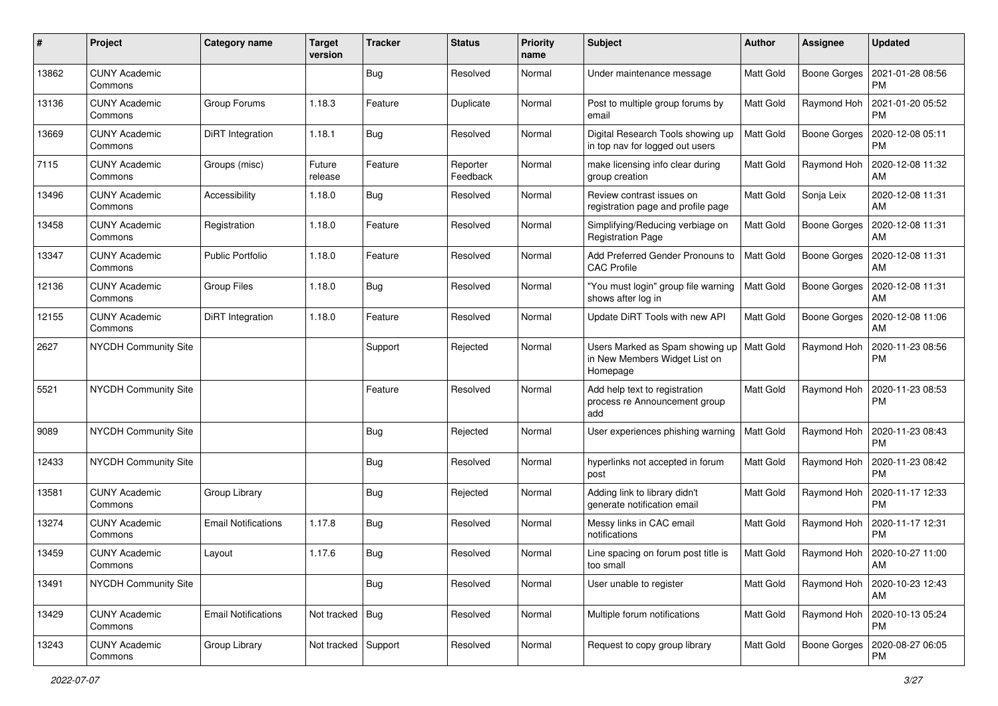| #     | Project                         | <b>Category name</b>       | <b>Target</b><br>version | <b>Tracker</b> | <b>Status</b>        | <b>Priority</b><br>name | <b>Subject</b>                                                               | Author           | <b>Assignee</b>     | <b>Updated</b>                |
|-------|---------------------------------|----------------------------|--------------------------|----------------|----------------------|-------------------------|------------------------------------------------------------------------------|------------------|---------------------|-------------------------------|
| 13862 | <b>CUNY Academic</b><br>Commons |                            |                          | <b>Bug</b>     | Resolved             | Normal                  | Under maintenance message                                                    | Matt Gold        | Boone Gorges        | 2021-01-28 08:56<br><b>PM</b> |
| 13136 | <b>CUNY Academic</b><br>Commons | Group Forums               | 1.18.3                   | Feature        | Duplicate            | Normal                  | Post to multiple group forums by<br>email                                    | Matt Gold        | Raymond Hoh         | 2021-01-20 05:52<br><b>PM</b> |
| 13669 | <b>CUNY Academic</b><br>Commons | DiRT Integration           | 1.18.1                   | Bug            | Resolved             | Normal                  | Digital Research Tools showing up<br>in top nav for logged out users         | Matt Gold        | <b>Boone Gorges</b> | 2020-12-08 05:11<br><b>PM</b> |
| 7115  | <b>CUNY Academic</b><br>Commons | Groups (misc)              | Future<br>release        | Feature        | Reporter<br>Feedback | Normal                  | make licensing info clear during<br>group creation                           | <b>Matt Gold</b> | Raymond Hoh         | 2020-12-08 11:32<br>AM        |
| 13496 | <b>CUNY Academic</b><br>Commons | Accessibility              | 1.18.0                   | <b>Bug</b>     | Resolved             | Normal                  | Review contrast issues on<br>registration page and profile page              | Matt Gold        | Sonja Leix          | 2020-12-08 11:31<br>AM        |
| 13458 | <b>CUNY Academic</b><br>Commons | Registration               | 1.18.0                   | Feature        | Resolved             | Normal                  | Simplifying/Reducing verbiage on<br><b>Registration Page</b>                 | Matt Gold        | <b>Boone Gorges</b> | 2020-12-08 11:31<br>AM        |
| 13347 | <b>CUNY Academic</b><br>Commons | <b>Public Portfolio</b>    | 1.18.0                   | Feature        | Resolved             | Normal                  | Add Preferred Gender Pronouns to<br><b>CAC Profile</b>                       | Matt Gold        | Boone Gorges        | 2020-12-08 11:31<br>AM        |
| 12136 | <b>CUNY Academic</b><br>Commons | <b>Group Files</b>         | 1.18.0                   | <b>Bug</b>     | Resolved             | Normal                  | "You must login" group file warning<br>shows after log in                    | Matt Gold        | <b>Boone Gorges</b> | 2020-12-08 11:31<br>AM        |
| 12155 | <b>CUNY Academic</b><br>Commons | DiRT Integration           | 1.18.0                   | Feature        | Resolved             | Normal                  | Update DiRT Tools with new API                                               | <b>Matt Gold</b> | <b>Boone Gorges</b> | 2020-12-08 11:06<br>AM        |
| 2627  | <b>NYCDH Community Site</b>     |                            |                          | Support        | Rejected             | Normal                  | Users Marked as Spam showing up<br>in New Members Widget List on<br>Homepage | Matt Gold        | Raymond Hoh         | 2020-11-23 08:56<br><b>PM</b> |
| 5521  | NYCDH Community Site            |                            |                          | Feature        | Resolved             | Normal                  | Add help text to registration<br>process re Announcement group<br>add        | Matt Gold        | Raymond Hoh         | 2020-11-23 08:53<br><b>PM</b> |
| 9089  | NYCDH Community Site            |                            |                          | Bug            | Rejected             | Normal                  | User experiences phishing warning                                            | Matt Gold        | Raymond Hoh         | 2020-11-23 08:43<br><b>PM</b> |
| 12433 | <b>NYCDH Community Site</b>     |                            |                          | Bug            | Resolved             | Normal                  | hyperlinks not accepted in forum<br>post                                     | <b>Matt Gold</b> | Raymond Hoh         | 2020-11-23 08:42<br><b>PM</b> |
| 13581 | <b>CUNY Academic</b><br>Commons | Group Library              |                          | Bug            | Rejected             | Normal                  | Adding link to library didn't<br>generate notification email                 | Matt Gold        | Raymond Hoh         | 2020-11-17 12:33<br><b>PM</b> |
| 13274 | <b>CUNY Academic</b><br>Commons | <b>Email Notifications</b> | 1.17.8                   | Bug            | Resolved             | Normal                  | Messy links in CAC email<br>notifications                                    | Matt Gold        | Raymond Hoh         | 2020-11-17 12:31<br><b>PM</b> |
| 13459 | <b>CUNY Academic</b><br>Commons | Layout                     | 1.17.6                   | Bug            | Resolved             | Normal                  | Line spacing on forum post title is<br>too small                             | Matt Gold        | Raymond Hoh         | 2020-10-27 11:00<br>AM        |
| 13491 | NYCDH Community Site            |                            |                          | Bug            | Resolved             | Normal                  | User unable to register                                                      | Matt Gold        | Raymond Hoh         | 2020-10-23 12:43<br>AM        |
| 13429 | <b>CUNY Academic</b><br>Commons | <b>Email Notifications</b> | Not tracked   Bug        |                | Resolved             | Normal                  | Multiple forum notifications                                                 | Matt Gold        | Raymond Hoh         | 2020-10-13 05:24<br><b>PM</b> |
| 13243 | <b>CUNY Academic</b><br>Commons | Group Library              | Not tracked Support      |                | Resolved             | Normal                  | Request to copy group library                                                | Matt Gold        | Boone Gorges        | 2020-08-27 06:05<br>PM        |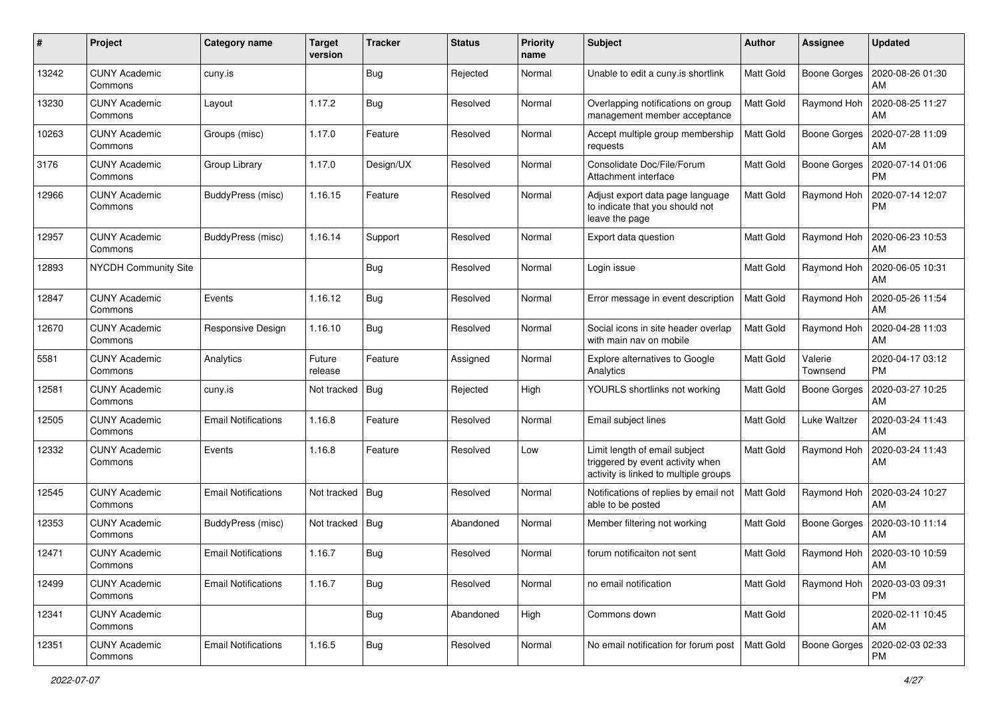| #     | Project                         | <b>Category name</b>       | <b>Target</b><br>version | <b>Tracker</b> | <b>Status</b> | <b>Priority</b><br>name | <b>Subject</b>                                                                                             | Author           | Assignee            | <b>Updated</b>                |
|-------|---------------------------------|----------------------------|--------------------------|----------------|---------------|-------------------------|------------------------------------------------------------------------------------------------------------|------------------|---------------------|-------------------------------|
| 13242 | <b>CUNY Academic</b><br>Commons | cuny.is                    |                          | <b>Bug</b>     | Rejected      | Normal                  | Unable to edit a cuny.is shortlink                                                                         | <b>Matt Gold</b> | <b>Boone Gorges</b> | 2020-08-26 01:30<br>AM        |
| 13230 | <b>CUNY Academic</b><br>Commons | Layout                     | 1.17.2                   | Bug            | Resolved      | Normal                  | Overlapping notifications on group<br>management member acceptance                                         | <b>Matt Gold</b> | Raymond Hoh         | 2020-08-25 11:27<br>AM        |
| 10263 | <b>CUNY Academic</b><br>Commons | Groups (misc)              | 1.17.0                   | Feature        | Resolved      | Normal                  | Accept multiple group membership<br>requests                                                               | Matt Gold        | <b>Boone Gorges</b> | 2020-07-28 11:09<br>AM        |
| 3176  | <b>CUNY Academic</b><br>Commons | Group Library              | 1.17.0                   | Design/UX      | Resolved      | Normal                  | Consolidate Doc/File/Forum<br>Attachment interface                                                         | <b>Matt Gold</b> | <b>Boone Gorges</b> | 2020-07-14 01:06<br><b>PM</b> |
| 12966 | <b>CUNY Academic</b><br>Commons | BuddyPress (misc)          | 1.16.15                  | Feature        | Resolved      | Normal                  | Adjust export data page language<br>to indicate that you should not<br>leave the page                      | Matt Gold        | Raymond Hoh         | 2020-07-14 12:07<br><b>PM</b> |
| 12957 | <b>CUNY Academic</b><br>Commons | BuddyPress (misc)          | 1.16.14                  | Support        | Resolved      | Normal                  | Export data question                                                                                       | Matt Gold        | Raymond Hoh         | 2020-06-23 10:53<br>AM        |
| 12893 | <b>NYCDH Community Site</b>     |                            |                          | Bug            | Resolved      | Normal                  | Login issue                                                                                                | <b>Matt Gold</b> | Raymond Hoh         | 2020-06-05 10:31<br>AM        |
| 12847 | <b>CUNY Academic</b><br>Commons | Events                     | 1.16.12                  | Bug            | Resolved      | Normal                  | Error message in event description                                                                         | Matt Gold        | Raymond Hoh         | 2020-05-26 11:54<br>AM        |
| 12670 | <b>CUNY Academic</b><br>Commons | Responsive Design          | 1.16.10                  | <b>Bug</b>     | Resolved      | Normal                  | Social icons in site header overlap<br>with main nav on mobile                                             | Matt Gold        | Raymond Hoh         | 2020-04-28 11:03<br>AM        |
| 5581  | <b>CUNY Academic</b><br>Commons | Analytics                  | Future<br>release        | Feature        | Assigned      | Normal                  | Explore alternatives to Google<br>Analytics                                                                | <b>Matt Gold</b> | Valerie<br>Townsend | 2020-04-17 03:12<br><b>PM</b> |
| 12581 | <b>CUNY Academic</b><br>Commons | cuny.is                    | Not tracked              | Bug            | Rejected      | High                    | YOURLS shortlinks not working                                                                              | <b>Matt Gold</b> | <b>Boone Gorges</b> | 2020-03-27 10:25<br>AM        |
| 12505 | <b>CUNY Academic</b><br>Commons | <b>Email Notifications</b> | 1.16.8                   | Feature        | Resolved      | Normal                  | Email subject lines                                                                                        | <b>Matt Gold</b> | Luke Waltzer        | 2020-03-24 11:43<br>AM        |
| 12332 | <b>CUNY Academic</b><br>Commons | Events                     | 1.16.8                   | Feature        | Resolved      | Low                     | Limit length of email subject<br>triggered by event activity when<br>activity is linked to multiple groups | Matt Gold        | Raymond Hoh         | 2020-03-24 11:43<br>AM        |
| 12545 | <b>CUNY Academic</b><br>Commons | <b>Email Notifications</b> | Not tracked              | Bug            | Resolved      | Normal                  | Notifications of replies by email not<br>able to be posted                                                 | Matt Gold        | Raymond Hoh         | 2020-03-24 10:27<br>AM        |
| 12353 | <b>CUNY Academic</b><br>Commons | BuddyPress (misc)          | Not tracked              | Bug            | Abandoned     | Normal                  | Member filtering not working                                                                               | <b>Matt Gold</b> | Boone Gorges        | 2020-03-10 11:14<br>AM        |
| 12471 | <b>CUNY Academic</b><br>Commons | Email Notifications        | 1.16.7                   | <b>Bug</b>     | Resolved      | Normal                  | forum notificaiton not sent                                                                                | <b>Matt Gold</b> | Raymond Hoh         | 2020-03-10 10:59<br>AM        |
| 12499 | <b>CUNY Academic</b><br>Commons | <b>Email Notifications</b> | 1.16.7                   | <b>Bug</b>     | Resolved      | Normal                  | no email notification                                                                                      | Matt Gold        | Raymond Hoh         | 2020-03-03 09:31<br>PM        |
| 12341 | <b>CUNY Academic</b><br>Commons |                            |                          | <b>Bug</b>     | Abandoned     | High                    | Commons down                                                                                               | Matt Gold        |                     | 2020-02-11 10:45<br>AM        |
| 12351 | <b>CUNY Academic</b><br>Commons | <b>Email Notifications</b> | 1.16.5                   | Bug            | Resolved      | Normal                  | No email notification for forum post                                                                       | Matt Gold        | <b>Boone Gorges</b> | 2020-02-03 02:33<br>PM.       |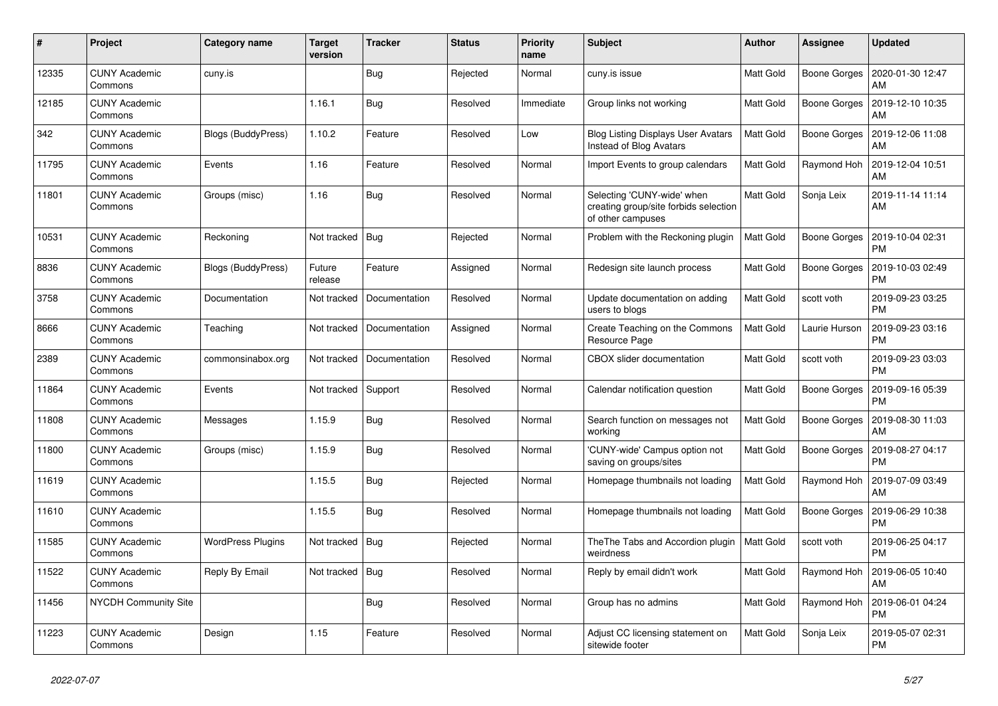| $\#$  | Project                         | Category name            | <b>Target</b><br>version | <b>Tracker</b> | <b>Status</b> | <b>Priority</b><br>name | <b>Subject</b>                                                                           | <b>Author</b>    | <b>Assignee</b> | <b>Updated</b>                |
|-------|---------------------------------|--------------------------|--------------------------|----------------|---------------|-------------------------|------------------------------------------------------------------------------------------|------------------|-----------------|-------------------------------|
| 12335 | <b>CUNY Academic</b><br>Commons | cuny.is                  |                          | <b>Bug</b>     | Rejected      | Normal                  | cuny.is issue                                                                            | Matt Gold        | Boone Gorges    | 2020-01-30 12:47<br>AM        |
| 12185 | <b>CUNY Academic</b><br>Commons |                          | 1.16.1                   | Bug            | Resolved      | Immediate               | Group links not working                                                                  | Matt Gold        | Boone Gorges    | 2019-12-10 10:35<br>AM        |
| 342   | <b>CUNY Academic</b><br>Commons | Blogs (BuddyPress)       | 1.10.2                   | Feature        | Resolved      | Low                     | <b>Blog Listing Displays User Avatars</b><br>Instead of Blog Avatars                     | Matt Gold        | Boone Gorges    | 2019-12-06 11:08<br>AM        |
| 11795 | <b>CUNY Academic</b><br>Commons | Events                   | 1.16                     | Feature        | Resolved      | Normal                  | Import Events to group calendars                                                         | Matt Gold        | Raymond Hoh     | 2019-12-04 10:51<br>AM        |
| 11801 | <b>CUNY Academic</b><br>Commons | Groups (misc)            | 1.16                     | <b>Bug</b>     | Resolved      | Normal                  | Selecting 'CUNY-wide' when<br>creating group/site forbids selection<br>of other campuses | Matt Gold        | Sonja Leix      | 2019-11-14 11:14<br>AM        |
| 10531 | <b>CUNY Academic</b><br>Commons | Reckoning                | Not tracked              | Bug            | Rejected      | Normal                  | Problem with the Reckoning plugin                                                        | <b>Matt Gold</b> | Boone Gorges    | 2019-10-04 02:31<br><b>PM</b> |
| 8836  | <b>CUNY Academic</b><br>Commons | Blogs (BuddyPress)       | Future<br>release        | Feature        | Assigned      | Normal                  | Redesign site launch process                                                             | Matt Gold        | Boone Gorges    | 2019-10-03 02:49<br><b>PM</b> |
| 3758  | <b>CUNY Academic</b><br>Commons | Documentation            | Not tracked              | Documentation  | Resolved      | Normal                  | Update documentation on adding<br>users to blogs                                         | <b>Matt Gold</b> | scott voth      | 2019-09-23 03:25<br><b>PM</b> |
| 8666  | <b>CUNY Academic</b><br>Commons | Teaching                 | Not tracked              | Documentation  | Assigned      | Normal                  | Create Teaching on the Commons<br>Resource Page                                          | Matt Gold        | Laurie Hurson   | 2019-09-23 03:16<br><b>PM</b> |
| 2389  | <b>CUNY Academic</b><br>Commons | commonsinabox.org        | Not tracked              | Documentation  | Resolved      | Normal                  | <b>CBOX</b> slider documentation                                                         | Matt Gold        | scott voth      | 2019-09-23 03:03<br><b>PM</b> |
| 11864 | <b>CUNY Academic</b><br>Commons | Events                   | Not tracked              | Support        | Resolved      | Normal                  | Calendar notification question                                                           | Matt Gold        | Boone Gorges    | 2019-09-16 05:39<br><b>PM</b> |
| 11808 | <b>CUNY Academic</b><br>Commons | Messages                 | 1.15.9                   | Bug            | Resolved      | Normal                  | Search function on messages not<br>working                                               | Matt Gold        | Boone Gorges    | 2019-08-30 11:03<br>AM        |
| 11800 | <b>CUNY Academic</b><br>Commons | Groups (misc)            | 1.15.9                   | <b>Bug</b>     | Resolved      | Normal                  | 'CUNY-wide' Campus option not<br>saving on groups/sites                                  | Matt Gold        | Boone Gorges    | 2019-08-27 04:17<br><b>PM</b> |
| 11619 | <b>CUNY Academic</b><br>Commons |                          | 1.15.5                   | <b>Bug</b>     | Rejected      | Normal                  | Homepage thumbnails not loading                                                          | Matt Gold        | Raymond Hoh     | 2019-07-09 03:49<br>AM        |
| 11610 | <b>CUNY Academic</b><br>Commons |                          | 1.15.5                   | <b>Bug</b>     | Resolved      | Normal                  | Homepage thumbnails not loading                                                          | <b>Matt Gold</b> | Boone Gorges    | 2019-06-29 10:38<br><b>PM</b> |
| 11585 | <b>CUNY Academic</b><br>Commons | <b>WordPress Plugins</b> | Not tracked              | <b>Bug</b>     | Rejected      | Normal                  | The The Tabs and Accordion plugin<br>weirdness                                           | <b>Matt Gold</b> | scott voth      | 2019-06-25 04:17<br><b>PM</b> |
| 11522 | <b>CUNY Academic</b><br>Commons | Reply By Email           | Not tracked              | <b>Bug</b>     | Resolved      | Normal                  | Reply by email didn't work                                                               | Matt Gold        | Raymond Hoh     | 2019-06-05 10:40<br>AM        |
| 11456 | <b>NYCDH Community Site</b>     |                          |                          | Bug            | Resolved      | Normal                  | Group has no admins                                                                      | Matt Gold        | Raymond Hoh     | 2019-06-01 04:24<br><b>PM</b> |
| 11223 | <b>CUNY Academic</b><br>Commons | Design                   | 1.15                     | Feature        | Resolved      | Normal                  | Adjust CC licensing statement on<br>sitewide footer                                      | Matt Gold        | Sonja Leix      | 2019-05-07 02:31<br><b>PM</b> |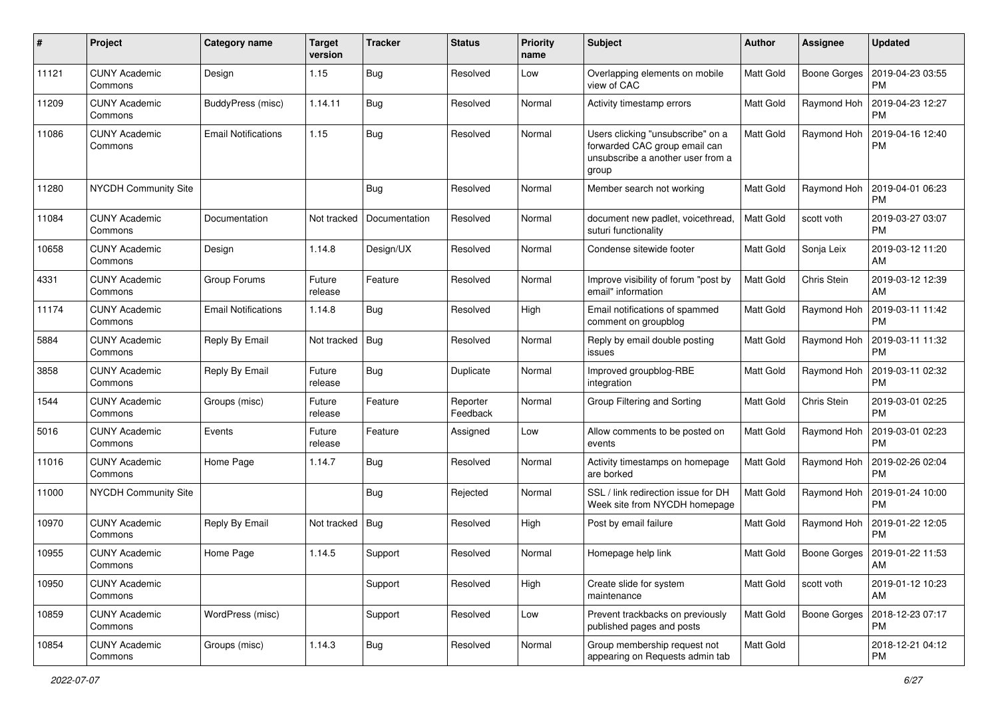| #     | Project                         | Category name              | <b>Target</b><br>version | <b>Tracker</b> | <b>Status</b>        | <b>Priority</b><br>name | <b>Subject</b>                                                                                                   | <b>Author</b>    | Assignee     | <b>Updated</b>                |
|-------|---------------------------------|----------------------------|--------------------------|----------------|----------------------|-------------------------|------------------------------------------------------------------------------------------------------------------|------------------|--------------|-------------------------------|
| 11121 | <b>CUNY Academic</b><br>Commons | Design                     | 1.15                     | <b>Bug</b>     | Resolved             | Low                     | Overlapping elements on mobile<br>view of CAC                                                                    | Matt Gold        | Boone Gorges | 2019-04-23 03:55<br><b>PM</b> |
| 11209 | <b>CUNY Academic</b><br>Commons | BuddyPress (misc)          | 1.14.11                  | <b>Bug</b>     | Resolved             | Normal                  | Activity timestamp errors                                                                                        | Matt Gold        | Raymond Hoh  | 2019-04-23 12:27<br><b>PM</b> |
| 11086 | <b>CUNY Academic</b><br>Commons | <b>Email Notifications</b> | 1.15                     | <b>Bug</b>     | Resolved             | Normal                  | Users clicking "unsubscribe" on a<br>forwarded CAC group email can<br>unsubscribe a another user from a<br>group | Matt Gold        | Raymond Hoh  | 2019-04-16 12:40<br><b>PM</b> |
| 11280 | <b>NYCDH Community Site</b>     |                            |                          | Bug            | Resolved             | Normal                  | Member search not working                                                                                        | Matt Gold        | Raymond Hoh  | 2019-04-01 06:23<br><b>PM</b> |
| 11084 | <b>CUNY Academic</b><br>Commons | Documentation              | Not tracked              | Documentation  | Resolved             | Normal                  | document new padlet, voicethread,<br>suturi functionality                                                        | Matt Gold        | scott voth   | 2019-03-27 03:07<br><b>PM</b> |
| 10658 | <b>CUNY Academic</b><br>Commons | Design                     | 1.14.8                   | Design/UX      | Resolved             | Normal                  | Condense sitewide footer                                                                                         | Matt Gold        | Sonja Leix   | 2019-03-12 11:20<br>AM        |
| 4331  | <b>CUNY Academic</b><br>Commons | Group Forums               | Future<br>release        | Feature        | Resolved             | Normal                  | Improve visibility of forum "post by<br>email" information                                                       | Matt Gold        | Chris Stein  | 2019-03-12 12:39<br>AM        |
| 11174 | <b>CUNY Academic</b><br>Commons | <b>Email Notifications</b> | 1.14.8                   | Bug            | Resolved             | High                    | Email notifications of spammed<br>comment on groupblog                                                           | Matt Gold        | Raymond Hoh  | 2019-03-11 11:42<br><b>PM</b> |
| 5884  | <b>CUNY Academic</b><br>Commons | Reply By Email             | Not tracked              | Bug            | Resolved             | Normal                  | Reply by email double posting<br>issues                                                                          | Matt Gold        | Raymond Hoh  | 2019-03-11 11:32<br><b>PM</b> |
| 3858  | <b>CUNY Academic</b><br>Commons | Reply By Email             | Future<br>release        | <b>Bug</b>     | Duplicate            | Normal                  | Improved groupblog-RBE<br>integration                                                                            | Matt Gold        | Raymond Hoh  | 2019-03-11 02:32<br><b>PM</b> |
| 1544  | <b>CUNY Academic</b><br>Commons | Groups (misc)              | Future<br>release        | Feature        | Reporter<br>Feedback | Normal                  | Group Filtering and Sorting                                                                                      | Matt Gold        | Chris Stein  | 2019-03-01 02:25<br><b>PM</b> |
| 5016  | <b>CUNY Academic</b><br>Commons | Events                     | Future<br>release        | Feature        | Assigned             | Low                     | Allow comments to be posted on<br>events                                                                         | Matt Gold        | Raymond Hoh  | 2019-03-01 02:23<br>PM        |
| 11016 | <b>CUNY Academic</b><br>Commons | Home Page                  | 1.14.7                   | Bug            | Resolved             | Normal                  | Activity timestamps on homepage<br>are borked                                                                    | Matt Gold        | Raymond Hoh  | 2019-02-26 02:04<br><b>PM</b> |
| 11000 | <b>NYCDH Community Site</b>     |                            |                          | Bug            | Rejected             | Normal                  | SSL / link redirection issue for DH<br>Week site from NYCDH homepage                                             | Matt Gold        | Raymond Hoh  | 2019-01-24 10:00<br><b>PM</b> |
| 10970 | <b>CUNY Academic</b><br>Commons | Reply By Email             | Not tracked              | Bug            | Resolved             | High                    | Post by email failure                                                                                            | Matt Gold        | Raymond Hoh  | 2019-01-22 12:05<br><b>PM</b> |
| 10955 | <b>CUNY Academic</b><br>Commons | Home Page                  | 1.14.5                   | Support        | Resolved             | Normal                  | Homepage help link                                                                                               | Matt Gold        | Boone Gorges | 2019-01-22 11:53<br>AM        |
| 10950 | <b>CUNY Academic</b><br>Commons |                            |                          | Support        | Resolved             | High                    | Create slide for system<br>maintenance                                                                           | Matt Gold        | scott voth   | 2019-01-12 10:23<br>AM        |
| 10859 | <b>CUNY Academic</b><br>Commons | WordPress (misc)           |                          | Support        | Resolved             | Low                     | Prevent trackbacks on previously<br>published pages and posts                                                    | <b>Matt Gold</b> | Boone Gorges | 2018-12-23 07:17<br><b>PM</b> |
| 10854 | <b>CUNY Academic</b><br>Commons | Groups (misc)              | 1.14.3                   | Bug            | Resolved             | Normal                  | Group membership request not<br>appearing on Requests admin tab                                                  | Matt Gold        |              | 2018-12-21 04:12<br><b>PM</b> |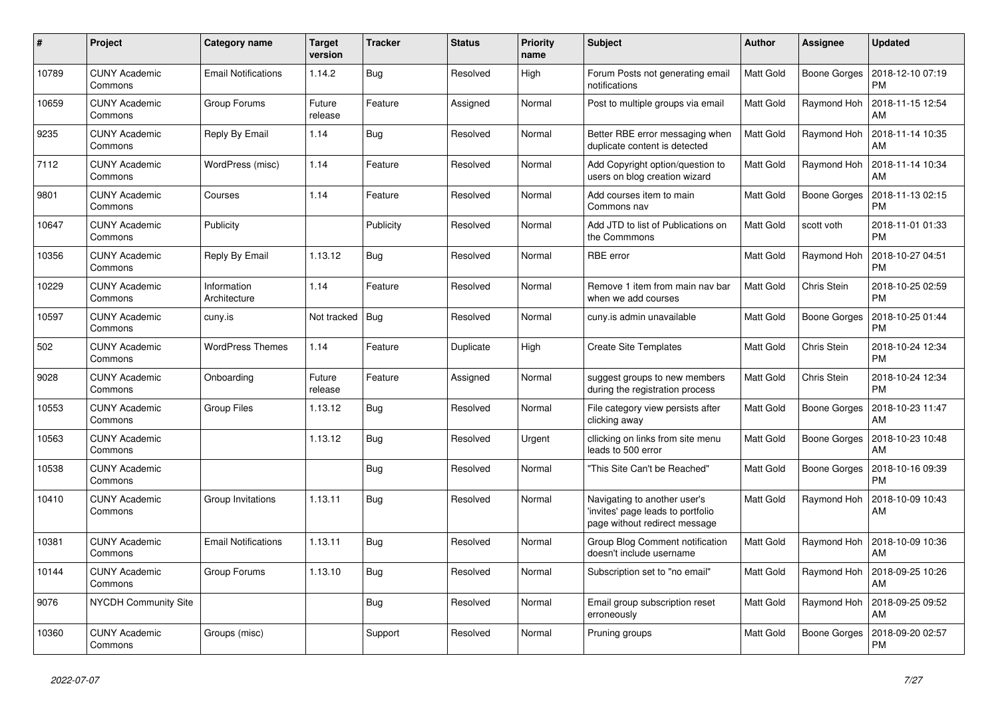| #     | Project                         | Category name               | <b>Target</b><br>version | <b>Tracker</b> | <b>Status</b> | <b>Priority</b><br>name | <b>Subject</b>                                                                                     | Author    | Assignee            | <b>Updated</b>                |
|-------|---------------------------------|-----------------------------|--------------------------|----------------|---------------|-------------------------|----------------------------------------------------------------------------------------------------|-----------|---------------------|-------------------------------|
| 10789 | <b>CUNY Academic</b><br>Commons | <b>Email Notifications</b>  | 1.14.2                   | Bug            | Resolved      | High                    | Forum Posts not generating email<br>notifications                                                  | Matt Gold | Boone Gorges        | 2018-12-10 07:19<br><b>PM</b> |
| 10659 | <b>CUNY Academic</b><br>Commons | Group Forums                | Future<br>release        | Feature        | Assigned      | Normal                  | Post to multiple groups via email                                                                  | Matt Gold | Raymond Hoh         | 2018-11-15 12:54<br>AM        |
| 9235  | <b>CUNY Academic</b><br>Commons | Reply By Email              | 1.14                     | Bug            | Resolved      | Normal                  | Better RBE error messaging when<br>duplicate content is detected                                   | Matt Gold | Raymond Hoh         | 2018-11-14 10:35<br>AM        |
| 7112  | <b>CUNY Academic</b><br>Commons | WordPress (misc)            | 1.14                     | Feature        | Resolved      | Normal                  | Add Copyright option/question to<br>users on blog creation wizard                                  | Matt Gold | Raymond Hoh         | 2018-11-14 10:34<br>AM        |
| 9801  | <b>CUNY Academic</b><br>Commons | Courses                     | 1.14                     | Feature        | Resolved      | Normal                  | Add courses item to main<br>Commons nav                                                            | Matt Gold | <b>Boone Gorges</b> | 2018-11-13 02:15<br><b>PM</b> |
| 10647 | <b>CUNY Academic</b><br>Commons | Publicity                   |                          | Publicity      | Resolved      | Normal                  | Add JTD to list of Publications on<br>the Commmons                                                 | Matt Gold | scott voth          | 2018-11-01 01:33<br><b>PM</b> |
| 10356 | <b>CUNY Academic</b><br>Commons | Reply By Email              | 1.13.12                  | Bug            | Resolved      | Normal                  | <b>RBE</b> error                                                                                   | Matt Gold | Raymond Hoh         | 2018-10-27 04:51<br><b>PM</b> |
| 10229 | <b>CUNY Academic</b><br>Commons | Information<br>Architecture | 1.14                     | Feature        | Resolved      | Normal                  | Remove 1 item from main nav bar<br>when we add courses                                             | Matt Gold | Chris Stein         | 2018-10-25 02:59<br><b>PM</b> |
| 10597 | <b>CUNY Academic</b><br>Commons | cuny.is                     | Not tracked              | <b>Bug</b>     | Resolved      | Normal                  | cuny.is admin unavailable                                                                          | Matt Gold | <b>Boone Gorges</b> | 2018-10-25 01:44<br><b>PM</b> |
| 502   | <b>CUNY Academic</b><br>Commons | <b>WordPress Themes</b>     | 1.14                     | Feature        | Duplicate     | High                    | <b>Create Site Templates</b>                                                                       | Matt Gold | Chris Stein         | 2018-10-24 12:34<br><b>PM</b> |
| 9028  | <b>CUNY Academic</b><br>Commons | Onboarding                  | Future<br>release        | Feature        | Assigned      | Normal                  | suggest groups to new members<br>during the registration process                                   | Matt Gold | Chris Stein         | 2018-10-24 12:34<br><b>PM</b> |
| 10553 | <b>CUNY Academic</b><br>Commons | <b>Group Files</b>          | 1.13.12                  | Bug            | Resolved      | Normal                  | File category view persists after<br>clicking away                                                 | Matt Gold | <b>Boone Gorges</b> | 2018-10-23 11:47<br>AM        |
| 10563 | <b>CUNY Academic</b><br>Commons |                             | 1.13.12                  | <b>Bug</b>     | Resolved      | Urgent                  | cllicking on links from site menu<br>leads to 500 error                                            | Matt Gold | Boone Gorges        | 2018-10-23 10:48<br>AM        |
| 10538 | <b>CUNY Academic</b><br>Commons |                             |                          | Bug            | Resolved      | Normal                  | "This Site Can't be Reached"                                                                       | Matt Gold | Boone Gorges        | 2018-10-16 09:39<br><b>PM</b> |
| 10410 | <b>CUNY Academic</b><br>Commons | Group Invitations           | 1.13.11                  | <b>Bug</b>     | Resolved      | Normal                  | Navigating to another user's<br>'invites' page leads to portfolio<br>page without redirect message | Matt Gold | Raymond Hoh         | 2018-10-09 10:43<br>AM        |
| 10381 | <b>CUNY Academic</b><br>Commons | <b>Email Notifications</b>  | 1.13.11                  | Bug            | Resolved      | Normal                  | Group Blog Comment notification<br>doesn't include username                                        | Matt Gold | Raymond Hoh         | 2018-10-09 10:36<br>AM        |
| 10144 | <b>CUNY Academic</b><br>Commons | Group Forums                | 1.13.10                  | <b>Bug</b>     | Resolved      | Normal                  | Subscription set to "no email"                                                                     | Matt Gold | Raymond Hoh         | 2018-09-25 10:26<br>AM        |
| 9076  | <b>NYCDH Community Site</b>     |                             |                          | Bug            | Resolved      | Normal                  | Email group subscription reset<br>erroneously                                                      | Matt Gold | Raymond Hoh         | 2018-09-25 09:52<br>AM        |
| 10360 | <b>CUNY Academic</b><br>Commons | Groups (misc)               |                          | Support        | Resolved      | Normal                  | Pruning groups                                                                                     | Matt Gold | Boone Gorges        | 2018-09-20 02:57<br><b>PM</b> |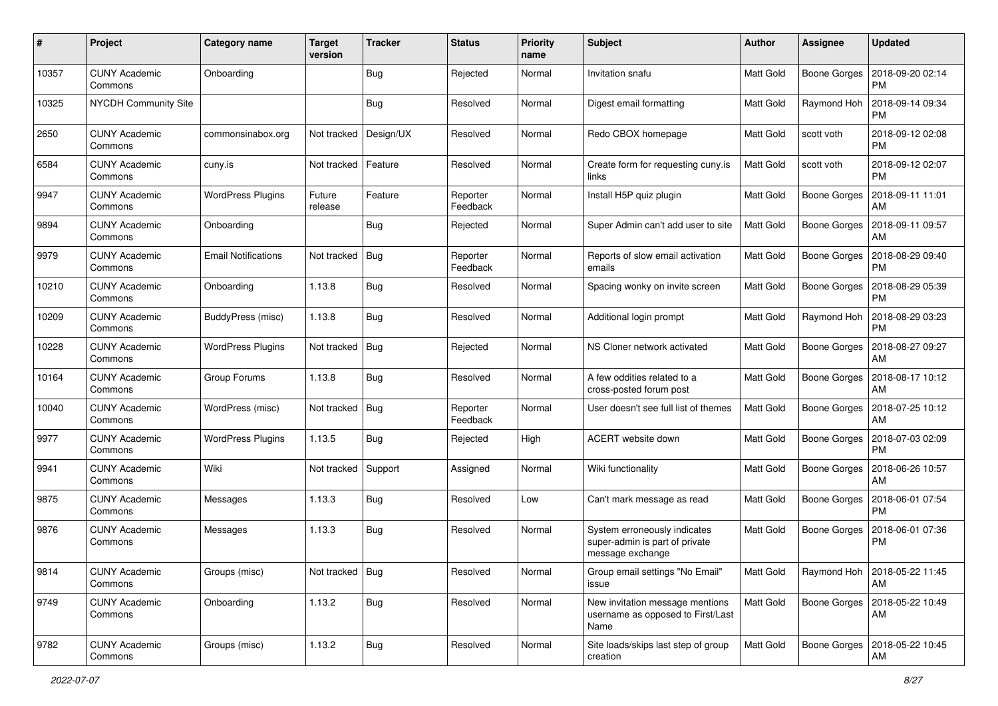| #     | Project                         | <b>Category name</b>       | <b>Target</b><br>version | <b>Tracker</b> | <b>Status</b>        | <b>Priority</b><br>name | Subject                                                                            | Author           | Assignee            | <b>Updated</b>                       |
|-------|---------------------------------|----------------------------|--------------------------|----------------|----------------------|-------------------------|------------------------------------------------------------------------------------|------------------|---------------------|--------------------------------------|
| 10357 | <b>CUNY Academic</b><br>Commons | Onboarding                 |                          | <b>Bug</b>     | Rejected             | Normal                  | Invitation snafu                                                                   | Matt Gold        | <b>Boone Gorges</b> | 2018-09-20 02:14<br><b>PM</b>        |
| 10325 | NYCDH Community Site            |                            |                          | <b>Bug</b>     | Resolved             | Normal                  | Digest email formatting                                                            | Matt Gold        | Raymond Hoh         | 2018-09-14 09:34<br><b>PM</b>        |
| 2650  | <b>CUNY Academic</b><br>Commons | commonsinabox.org          | Not tracked              | Design/UX      | Resolved             | Normal                  | Redo CBOX homepage                                                                 | Matt Gold        | scott voth          | 2018-09-12 02:08<br><b>PM</b>        |
| 6584  | <b>CUNY Academic</b><br>Commons | cuny.is                    | Not tracked              | Feature        | Resolved             | Normal                  | Create form for requesting cuny.is<br>links                                        | Matt Gold        | scott voth          | 2018-09-12 02:07<br><b>PM</b>        |
| 9947  | <b>CUNY Academic</b><br>Commons | <b>WordPress Plugins</b>   | Future<br>release        | Feature        | Reporter<br>Feedback | Normal                  | Install H5P quiz plugin                                                            | Matt Gold        | Boone Gorges        | 2018-09-11 11:01<br>AM               |
| 9894  | <b>CUNY Academic</b><br>Commons | Onboarding                 |                          | Bug            | Rejected             | Normal                  | Super Admin can't add user to site                                                 | Matt Gold        | Boone Gorges        | 2018-09-11 09:57<br>AM               |
| 9979  | <b>CUNY Academic</b><br>Commons | <b>Email Notifications</b> | Not tracked              | <b>Bug</b>     | Reporter<br>Feedback | Normal                  | Reports of slow email activation<br>emails                                         | Matt Gold        | Boone Gorges        | 2018-08-29 09:40<br><b>PM</b>        |
| 10210 | <b>CUNY Academic</b><br>Commons | Onboarding                 | 1.13.8                   | <b>Bug</b>     | Resolved             | Normal                  | Spacing wonky on invite screen                                                     | Matt Gold        | <b>Boone Gorges</b> | 2018-08-29 05:39<br>РM               |
| 10209 | <b>CUNY Academic</b><br>Commons | BuddyPress (misc)          | 1.13.8                   | Bug            | Resolved             | Normal                  | Additional login prompt                                                            | Matt Gold        | Raymond Hoh         | 2018-08-29 03:23<br><b>PM</b>        |
| 10228 | <b>CUNY Academic</b><br>Commons | <b>WordPress Plugins</b>   | Not tracked              | <b>Bug</b>     | Rejected             | Normal                  | NS Cloner network activated                                                        | Matt Gold        | <b>Boone Gorges</b> | 2018-08-27 09:27<br>AM               |
| 10164 | <b>CUNY Academic</b><br>Commons | Group Forums               | 1.13.8                   | <b>Bug</b>     | Resolved             | Normal                  | A few oddities related to a<br>cross-posted forum post                             | <b>Matt Gold</b> | <b>Boone Gorges</b> | 2018-08-17 10:12<br>AM               |
| 10040 | <b>CUNY Academic</b><br>Commons | WordPress (misc)           | Not tracked              | <b>Bug</b>     | Reporter<br>Feedback | Normal                  | User doesn't see full list of themes                                               | Matt Gold        | Boone Gorges        | 2018-07-25 10:12<br>AM               |
| 9977  | <b>CUNY Academic</b><br>Commons | <b>WordPress Plugins</b>   | 1.13.5                   | Bug            | Rejected             | High                    | ACERT website down                                                                 | Matt Gold        | <b>Boone Gorges</b> | 2018-07-03 02:09<br><b>PM</b>        |
| 9941  | <b>CUNY Academic</b><br>Commons | Wiki                       | Not tracked              | Support        | Assigned             | Normal                  | Wiki functionality                                                                 | Matt Gold        | Boone Gorges        | 2018-06-26 10:57<br>AM               |
| 9875  | <b>CUNY Academic</b><br>Commons | Messages                   | 1.13.3                   | Bug            | Resolved             | Low                     | Can't mark message as read                                                         | Matt Gold        | <b>Boone Gorges</b> | 2018-06-01 07:54<br><b>PM</b>        |
| 9876  | <b>CUNY Academic</b><br>Commons | Messages                   | 1.13.3                   | Bug            | Resolved             | Normal                  | System erroneously indicates<br>super-admin is part of private<br>message exchange | Matt Gold        | Boone Gorges        | 2018-06-01 07:36<br><b>PM</b>        |
| 9814  | <b>CUNY Academic</b><br>Commons | Groups (misc)              | Not tracked   Bug        |                | Resolved             | Normal                  | Group email settings "No Email"<br>issue                                           | <b>Matt Gold</b> |                     | Raymond Hoh   2018-05-22 11:45<br>AM |
| 9749  | <b>CUNY Academic</b><br>Commons | Onboarding                 | 1.13.2                   | <b>Bug</b>     | Resolved             | Normal                  | New invitation message mentions<br>username as opposed to First/Last<br>Name       | Matt Gold        | <b>Boone Gorges</b> | 2018-05-22 10:49<br>AM               |
| 9782  | <b>CUNY Academic</b><br>Commons | Groups (misc)              | 1.13.2                   | <b>Bug</b>     | Resolved             | Normal                  | Site loads/skips last step of group<br>creation                                    | Matt Gold        | Boone Gorges        | 2018-05-22 10:45<br>AM               |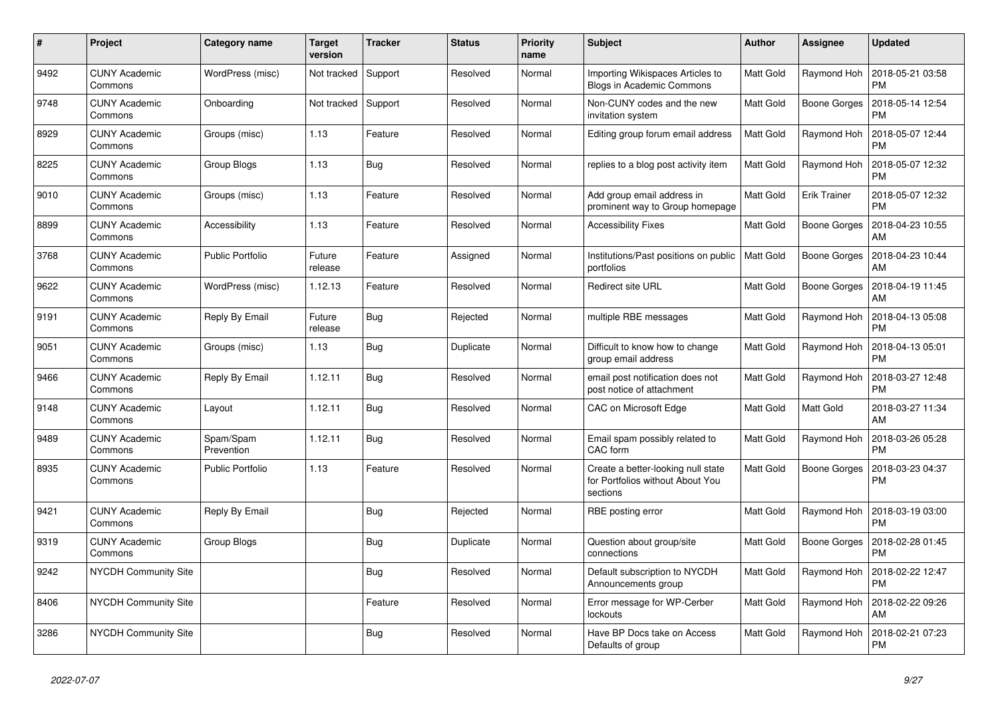| #    | Project                         | <b>Category name</b>    | <b>Target</b><br>version | <b>Tracker</b> | <b>Status</b> | Priority<br>name | <b>Subject</b>                                                                     | <b>Author</b>    | <b>Assignee</b>     | <b>Updated</b>                |
|------|---------------------------------|-------------------------|--------------------------|----------------|---------------|------------------|------------------------------------------------------------------------------------|------------------|---------------------|-------------------------------|
| 9492 | <b>CUNY Academic</b><br>Commons | WordPress (misc)        | Not tracked              | Support        | Resolved      | Normal           | Importing Wikispaces Articles to<br>Blogs in Academic Commons                      | Matt Gold        | Raymond Hoh         | 2018-05-21 03:58<br><b>PM</b> |
| 9748 | <b>CUNY Academic</b><br>Commons | Onboarding              | Not tracked              | Support        | Resolved      | Normal           | Non-CUNY codes and the new<br>invitation system                                    | Matt Gold        | <b>Boone Gorges</b> | 2018-05-14 12:54<br><b>PM</b> |
| 8929 | <b>CUNY Academic</b><br>Commons | Groups (misc)           | 1.13                     | Feature        | Resolved      | Normal           | Editing group forum email address                                                  | Matt Gold        | Raymond Hoh         | 2018-05-07 12:44<br><b>PM</b> |
| 8225 | <b>CUNY Academic</b><br>Commons | Group Blogs             | 1.13                     | Bug            | Resolved      | Normal           | replies to a blog post activity item                                               | Matt Gold        | Raymond Hoh         | 2018-05-07 12:32<br><b>PM</b> |
| 9010 | <b>CUNY Academic</b><br>Commons | Groups (misc)           | 1.13                     | Feature        | Resolved      | Normal           | Add group email address in<br>prominent way to Group homepage                      | Matt Gold        | <b>Erik Trainer</b> | 2018-05-07 12:32<br><b>PM</b> |
| 8899 | <b>CUNY Academic</b><br>Commons | Accessibility           | 1.13                     | Feature        | Resolved      | Normal           | <b>Accessibility Fixes</b>                                                         | Matt Gold        | <b>Boone Gorges</b> | 2018-04-23 10:55<br>AM        |
| 3768 | <b>CUNY Academic</b><br>Commons | <b>Public Portfolio</b> | Future<br>release        | Feature        | Assigned      | Normal           | Institutions/Past positions on public<br>portfolios                                | <b>Matt Gold</b> | Boone Gorges        | 2018-04-23 10:44<br>AM        |
| 9622 | <b>CUNY Academic</b><br>Commons | WordPress (misc)        | 1.12.13                  | Feature        | Resolved      | Normal           | Redirect site URL                                                                  | Matt Gold        | Boone Gorges        | 2018-04-19 11:45<br>AM        |
| 9191 | <b>CUNY Academic</b><br>Commons | Reply By Email          | Future<br>release        | Bug            | Rejected      | Normal           | multiple RBE messages                                                              | Matt Gold        | Raymond Hoh         | 2018-04-13 05:08<br><b>PM</b> |
| 9051 | <b>CUNY Academic</b><br>Commons | Groups (misc)           | 1.13                     | <b>Bug</b>     | Duplicate     | Normal           | Difficult to know how to change<br>group email address                             | Matt Gold        | Raymond Hoh         | 2018-04-13 05:01<br><b>PM</b> |
| 9466 | <b>CUNY Academic</b><br>Commons | Reply By Email          | 1.12.11                  | Bug            | Resolved      | Normal           | email post notification does not<br>post notice of attachment                      | Matt Gold        | Raymond Hoh         | 2018-03-27 12:48<br><b>PM</b> |
| 9148 | <b>CUNY Academic</b><br>Commons | Layout                  | 1.12.11                  | Bug            | Resolved      | Normal           | CAC on Microsoft Edge                                                              | Matt Gold        | Matt Gold           | 2018-03-27 11:34<br>AM        |
| 9489 | <b>CUNY Academic</b><br>Commons | Spam/Spam<br>Prevention | 1.12.11                  | <b>Bug</b>     | Resolved      | Normal           | Email spam possibly related to<br>CAC form                                         | Matt Gold        | Raymond Hoh         | 2018-03-26 05:28<br><b>PM</b> |
| 8935 | <b>CUNY Academic</b><br>Commons | <b>Public Portfolio</b> | 1.13                     | Feature        | Resolved      | Normal           | Create a better-looking null state<br>for Portfolios without About You<br>sections | Matt Gold        | Boone Gorges        | 2018-03-23 04:37<br><b>PM</b> |
| 9421 | <b>CUNY Academic</b><br>Commons | Reply By Email          |                          | Bug            | Rejected      | Normal           | RBE posting error                                                                  | Matt Gold        | Raymond Hoh         | 2018-03-19 03:00<br><b>PM</b> |
| 9319 | <b>CUNY Academic</b><br>Commons | Group Blogs             |                          | <b>Bug</b>     | Duplicate     | Normal           | Question about group/site<br>connections                                           | Matt Gold        | Boone Gorges        | 2018-02-28 01:45<br><b>PM</b> |
| 9242 | NYCDH Community Site            |                         |                          | <b>Bug</b>     | Resolved      | Normal           | Default subscription to NYCDH<br>Announcements group                               | Matt Gold        | Raymond Hoh         | 2018-02-22 12:47<br><b>PM</b> |
| 8406 | <b>NYCDH Community Site</b>     |                         |                          | Feature        | Resolved      | Normal           | Error message for WP-Cerber<br>lockouts                                            | Matt Gold        | Raymond Hoh         | 2018-02-22 09:26<br>AM        |
| 3286 | <b>NYCDH Community Site</b>     |                         |                          | <b>Bug</b>     | Resolved      | Normal           | Have BP Docs take on Access<br>Defaults of group                                   | Matt Gold        | Raymond Hoh         | 2018-02-21 07:23<br><b>PM</b> |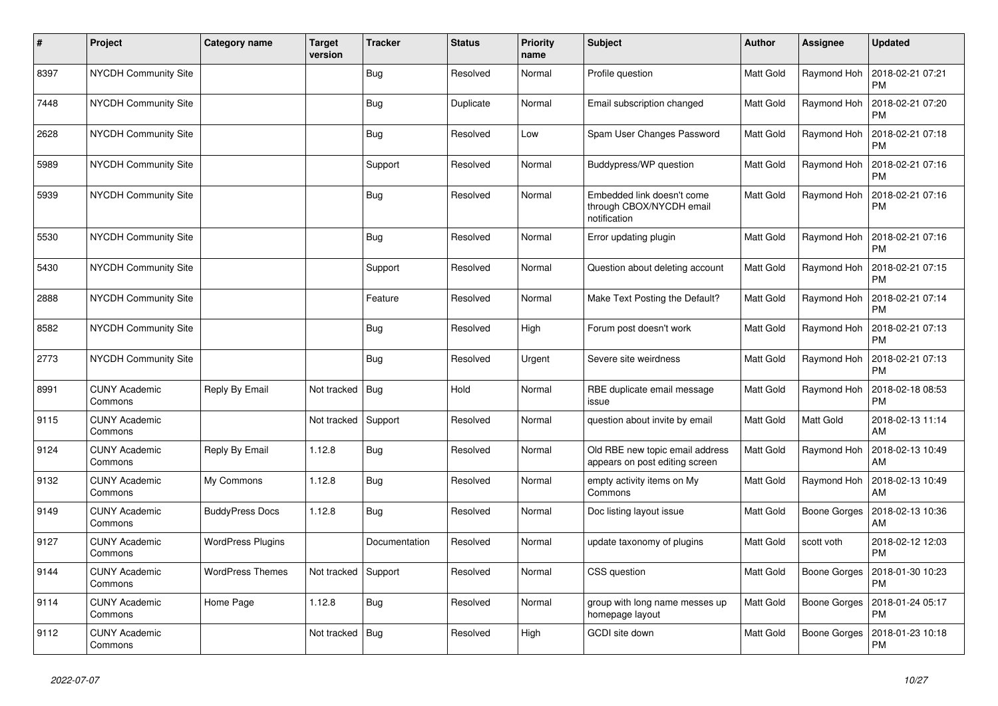| $\vert$ # | Project                         | Category name            | <b>Target</b><br>version | <b>Tracker</b> | <b>Status</b> | <b>Priority</b><br>name | <b>Subject</b>                                                         | <b>Author</b> | <b>Assignee</b>     | <b>Updated</b>                |
|-----------|---------------------------------|--------------------------|--------------------------|----------------|---------------|-------------------------|------------------------------------------------------------------------|---------------|---------------------|-------------------------------|
| 8397      | <b>NYCDH Community Site</b>     |                          |                          | Bug            | Resolved      | Normal                  | Profile question                                                       | Matt Gold     | Raymond Hoh         | 2018-02-21 07:21<br><b>PM</b> |
| 7448      | <b>NYCDH Community Site</b>     |                          |                          | Bug            | Duplicate     | Normal                  | Email subscription changed                                             | Matt Gold     | Raymond Hoh         | 2018-02-21 07:20<br><b>PM</b> |
| 2628      | <b>NYCDH Community Site</b>     |                          |                          | Bug            | Resolved      | Low                     | Spam User Changes Password                                             | Matt Gold     | Raymond Hoh         | 2018-02-21 07:18<br><b>PM</b> |
| 5989      | <b>NYCDH Community Site</b>     |                          |                          | Support        | Resolved      | Normal                  | Buddypress/WP question                                                 | Matt Gold     | Raymond Hoh         | 2018-02-21 07:16<br><b>PM</b> |
| 5939      | <b>NYCDH Community Site</b>     |                          |                          | Bug            | Resolved      | Normal                  | Embedded link doesn't come<br>through CBOX/NYCDH email<br>notification | Matt Gold     | Raymond Hoh         | 2018-02-21 07:16<br><b>PM</b> |
| 5530      | <b>NYCDH Community Site</b>     |                          |                          | Bug            | Resolved      | Normal                  | Error updating plugin                                                  | Matt Gold     | Raymond Hoh         | 2018-02-21 07:16<br><b>PM</b> |
| 5430      | <b>NYCDH Community Site</b>     |                          |                          | Support        | Resolved      | Normal                  | Question about deleting account                                        | Matt Gold     | Raymond Hoh         | 2018-02-21 07:15<br><b>PM</b> |
| 2888      | <b>NYCDH Community Site</b>     |                          |                          | Feature        | Resolved      | Normal                  | Make Text Posting the Default?                                         | Matt Gold     | Raymond Hoh         | 2018-02-21 07:14<br><b>PM</b> |
| 8582      | NYCDH Community Site            |                          |                          | <b>Bug</b>     | Resolved      | High                    | Forum post doesn't work                                                | Matt Gold     | Raymond Hoh         | 2018-02-21 07:13<br><b>PM</b> |
| 2773      | <b>NYCDH Community Site</b>     |                          |                          | <b>Bug</b>     | Resolved      | Urgent                  | Severe site weirdness                                                  | Matt Gold     | Raymond Hoh         | 2018-02-21 07:13<br><b>PM</b> |
| 8991      | <b>CUNY Academic</b><br>Commons | Reply By Email           | Not tracked              | Bug            | Hold          | Normal                  | RBE duplicate email message<br>issue                                   | Matt Gold     | Raymond Hoh         | 2018-02-18 08:53<br><b>PM</b> |
| 9115      | <b>CUNY Academic</b><br>Commons |                          | Not tracked              | Support        | Resolved      | Normal                  | question about invite by email                                         | Matt Gold     | Matt Gold           | 2018-02-13 11:14<br>AM        |
| 9124      | <b>CUNY Academic</b><br>Commons | Reply By Email           | 1.12.8                   | <b>Bug</b>     | Resolved      | Normal                  | Old RBE new topic email address<br>appears on post editing screen      | Matt Gold     | Raymond Hoh         | 2018-02-13 10:49<br>AM        |
| 9132      | <b>CUNY Academic</b><br>Commons | My Commons               | 1.12.8                   | <b>Bug</b>     | Resolved      | Normal                  | empty activity items on My<br>Commons                                  | Matt Gold     | Raymond Hoh         | 2018-02-13 10:49<br>AM        |
| 9149      | <b>CUNY Academic</b><br>Commons | <b>BuddyPress Docs</b>   | 1.12.8                   | <b>Bug</b>     | Resolved      | Normal                  | Doc listing layout issue                                               | Matt Gold     | Boone Gorges        | 2018-02-13 10:36<br>AM        |
| 9127      | <b>CUNY Academic</b><br>Commons | <b>WordPress Plugins</b> |                          | Documentation  | Resolved      | Normal                  | update taxonomy of plugins                                             | Matt Gold     | scott voth          | 2018-02-12 12:03<br><b>PM</b> |
| 9144      | <b>CUNY Academic</b><br>Commons | <b>WordPress Themes</b>  | Not tracked              | Support        | Resolved      | Normal                  | CSS question                                                           | Matt Gold     | Boone Gorges        | 2018-01-30 10:23<br><b>PM</b> |
| 9114      | <b>CUNY Academic</b><br>Commons | Home Page                | 1.12.8                   | Bug            | Resolved      | Normal                  | group with long name messes up<br>homepage layout                      | Matt Gold     | Boone Gorges        | 2018-01-24 05:17<br><b>PM</b> |
| 9112      | <b>CUNY Academic</b><br>Commons |                          | Not tracked              | <b>Bug</b>     | Resolved      | High                    | GCDI site down                                                         | Matt Gold     | <b>Boone Gorges</b> | 2018-01-23 10:18<br><b>PM</b> |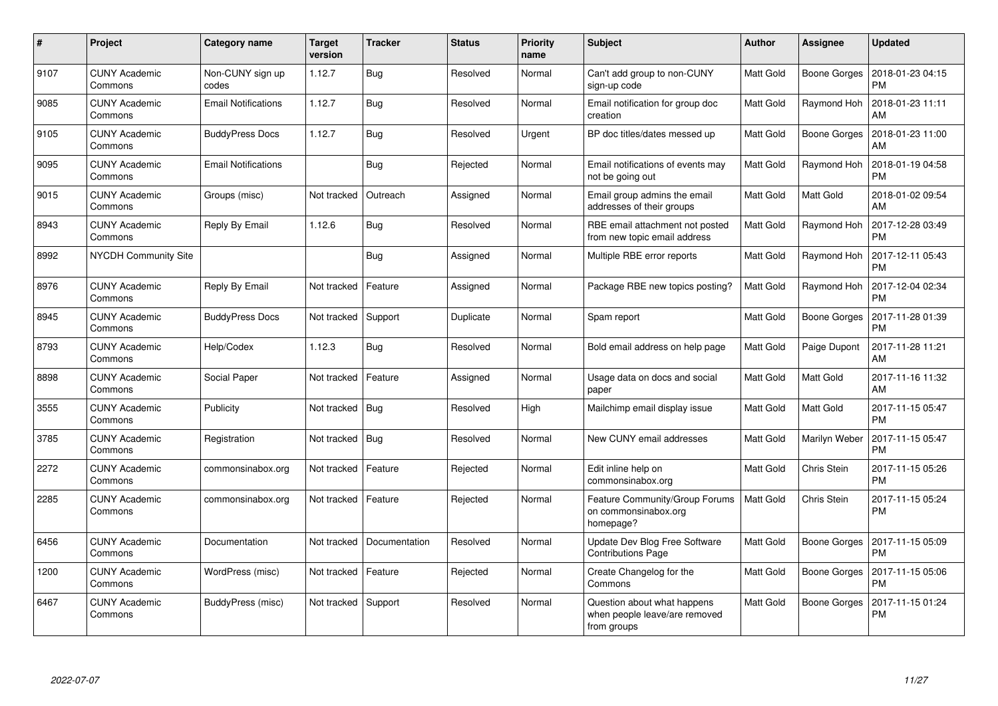| #    | Project                         | <b>Category name</b>       | <b>Target</b><br>version | <b>Tracker</b> | <b>Status</b> | <b>Priority</b><br>name | <b>Subject</b>                                                              | Author    | <b>Assignee</b>     | <b>Updated</b>                |
|------|---------------------------------|----------------------------|--------------------------|----------------|---------------|-------------------------|-----------------------------------------------------------------------------|-----------|---------------------|-------------------------------|
| 9107 | <b>CUNY Academic</b><br>Commons | Non-CUNY sign up<br>codes  | 1.12.7                   | Bug            | Resolved      | Normal                  | Can't add group to non-CUNY<br>sign-up code                                 | Matt Gold | Boone Gorges        | 2018-01-23 04:15<br><b>PM</b> |
| 9085 | <b>CUNY Academic</b><br>Commons | <b>Email Notifications</b> | 1.12.7                   | <b>Bug</b>     | Resolved      | Normal                  | Email notification for group doc<br>creation                                | Matt Gold | Raymond Hoh         | 2018-01-23 11:11<br>AM        |
| 9105 | <b>CUNY Academic</b><br>Commons | <b>BuddyPress Docs</b>     | 1.12.7                   | <b>Bug</b>     | Resolved      | Urgent                  | BP doc titles/dates messed up                                               | Matt Gold | Boone Gorges        | 2018-01-23 11:00<br>AM        |
| 9095 | <b>CUNY Academic</b><br>Commons | <b>Email Notifications</b> |                          | <b>Bug</b>     | Rejected      | Normal                  | Email notifications of events may<br>not be going out                       | Matt Gold | Raymond Hoh         | 2018-01-19 04:58<br><b>PM</b> |
| 9015 | <b>CUNY Academic</b><br>Commons | Groups (misc)              | Not tracked              | Outreach       | Assigned      | Normal                  | Email group admins the email<br>addresses of their groups                   | Matt Gold | Matt Gold           | 2018-01-02 09:54<br>AM        |
| 8943 | <b>CUNY Academic</b><br>Commons | Reply By Email             | 1.12.6                   | Bug            | Resolved      | Normal                  | RBE email attachment not posted<br>from new topic email address             | Matt Gold | Raymond Hoh         | 2017-12-28 03:49<br><b>PM</b> |
| 8992 | <b>NYCDH Community Site</b>     |                            |                          | Bug            | Assigned      | Normal                  | Multiple RBE error reports                                                  | Matt Gold | Raymond Hoh         | 2017-12-11 05:43<br><b>PM</b> |
| 8976 | <b>CUNY Academic</b><br>Commons | Reply By Email             | Not tracked              | Feature        | Assigned      | Normal                  | Package RBE new topics posting?                                             | Matt Gold | Raymond Hoh         | 2017-12-04 02:34<br><b>PM</b> |
| 8945 | <b>CUNY Academic</b><br>Commons | <b>BuddyPress Docs</b>     | Not tracked              | Support        | Duplicate     | Normal                  | Spam report                                                                 | Matt Gold | <b>Boone Gorges</b> | 2017-11-28 01:39<br><b>PM</b> |
| 8793 | <b>CUNY Academic</b><br>Commons | Help/Codex                 | 1.12.3                   | Bug            | Resolved      | Normal                  | Bold email address on help page                                             | Matt Gold | Paige Dupont        | 2017-11-28 11:21<br>AM        |
| 8898 | <b>CUNY Academic</b><br>Commons | Social Paper               | Not tracked              | Feature        | Assigned      | Normal                  | Usage data on docs and social<br>paper                                      | Matt Gold | Matt Gold           | 2017-11-16 11:32<br>AM        |
| 3555 | <b>CUNY Academic</b><br>Commons | Publicity                  | Not tracked              | Bug            | Resolved      | High                    | Mailchimp email display issue                                               | Matt Gold | Matt Gold           | 2017-11-15 05:47<br><b>PM</b> |
| 3785 | <b>CUNY Academic</b><br>Commons | Registration               | Not tracked              | Bug            | Resolved      | Normal                  | New CUNY email addresses                                                    | Matt Gold | Marilyn Weber       | 2017-11-15 05:47<br><b>PM</b> |
| 2272 | <b>CUNY Academic</b><br>Commons | commonsinabox.org          | Not tracked              | Feature        | Rejected      | Normal                  | Edit inline help on<br>commonsinabox.org                                    | Matt Gold | Chris Stein         | 2017-11-15 05:26<br><b>PM</b> |
| 2285 | <b>CUNY Academic</b><br>Commons | commonsinabox.org          | Not tracked              | Feature        | Rejected      | Normal                  | Feature Community/Group Forums<br>on commonsinabox.org<br>homepage?         | Matt Gold | Chris Stein         | 2017-11-15 05:24<br><b>PM</b> |
| 6456 | <b>CUNY Academic</b><br>Commons | Documentation              | Not tracked              | Documentation  | Resolved      | Normal                  | Update Dev Blog Free Software<br><b>Contributions Page</b>                  | Matt Gold | Boone Gorges        | 2017-11-15 05:09<br><b>PM</b> |
| 1200 | <b>CUNY Academic</b><br>Commons | WordPress (misc)           | Not tracked              | Feature        | Rejected      | Normal                  | Create Changelog for the<br>Commons                                         | Matt Gold | Boone Gorges        | 2017-11-15 05:06<br><b>PM</b> |
| 6467 | <b>CUNY Academic</b><br>Commons | BuddyPress (misc)          | Not tracked              | Support        | Resolved      | Normal                  | Question about what happens<br>when people leave/are removed<br>from groups | Matt Gold | Boone Gorges        | 2017-11-15 01:24<br><b>PM</b> |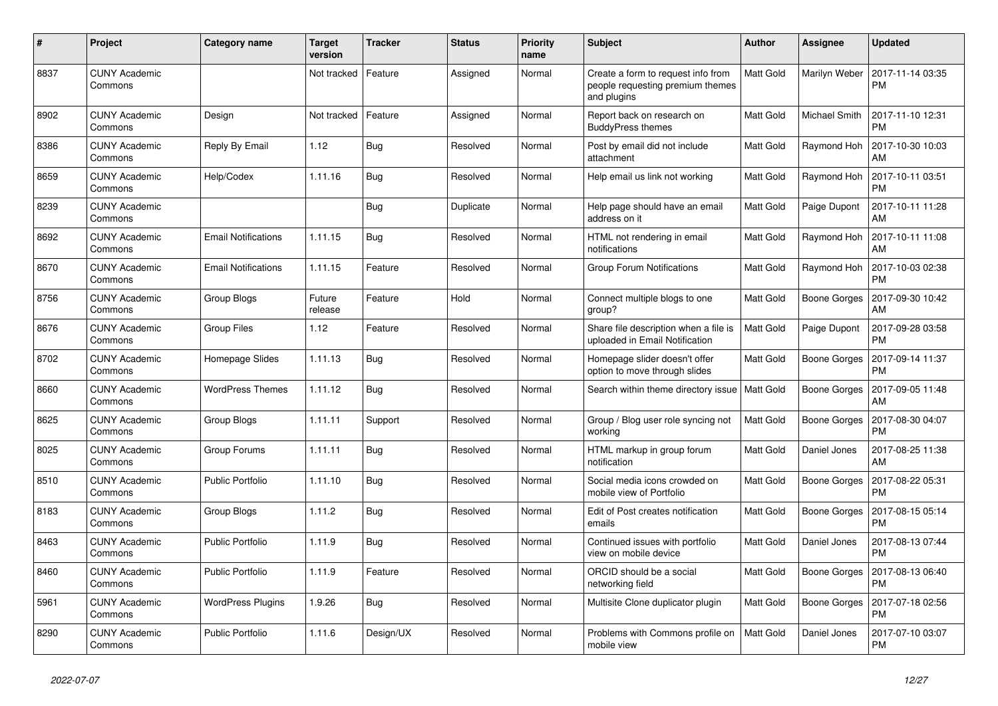| $\#$ | Project                         | Category name              | <b>Target</b><br>version | <b>Tracker</b> | <b>Status</b> | <b>Priority</b><br>name | <b>Subject</b>                                                                        | Author    | Assignee            | <b>Updated</b>                |
|------|---------------------------------|----------------------------|--------------------------|----------------|---------------|-------------------------|---------------------------------------------------------------------------------------|-----------|---------------------|-------------------------------|
| 8837 | <b>CUNY Academic</b><br>Commons |                            | Not tracked              | Feature        | Assigned      | Normal                  | Create a form to request info from<br>people requesting premium themes<br>and plugins | Matt Gold | Marilyn Weber       | 2017-11-14 03:35<br><b>PM</b> |
| 8902 | <b>CUNY Academic</b><br>Commons | Design                     | Not tracked              | Feature        | Assigned      | Normal                  | Report back on research on<br><b>BuddyPress themes</b>                                | Matt Gold | Michael Smith       | 2017-11-10 12:31<br><b>PM</b> |
| 8386 | <b>CUNY Academic</b><br>Commons | Reply By Email             | 1.12                     | Bug            | Resolved      | Normal                  | Post by email did not include<br>attachment                                           | Matt Gold | Raymond Hoh         | 2017-10-30 10:03<br>AM        |
| 8659 | <b>CUNY Academic</b><br>Commons | Help/Codex                 | 1.11.16                  | Bug            | Resolved      | Normal                  | Help email us link not working                                                        | Matt Gold | Raymond Hoh         | 2017-10-11 03:51<br><b>PM</b> |
| 8239 | <b>CUNY Academic</b><br>Commons |                            |                          | Bug            | Duplicate     | Normal                  | Help page should have an email<br>address on it                                       | Matt Gold | Paige Dupont        | 2017-10-11 11:28<br>AM        |
| 8692 | <b>CUNY Academic</b><br>Commons | <b>Email Notifications</b> | 1.11.15                  | Bug            | Resolved      | Normal                  | HTML not rendering in email<br>notifications                                          | Matt Gold | Raymond Hoh         | 2017-10-11 11:08<br>AM        |
| 8670 | <b>CUNY Academic</b><br>Commons | <b>Email Notifications</b> | 1.11.15                  | Feature        | Resolved      | Normal                  | Group Forum Notifications                                                             | Matt Gold | Raymond Hoh         | 2017-10-03 02:38<br><b>PM</b> |
| 8756 | <b>CUNY Academic</b><br>Commons | Group Blogs                | Future<br>release        | Feature        | Hold          | Normal                  | Connect multiple blogs to one<br>group?                                               | Matt Gold | Boone Gorges        | 2017-09-30 10:42<br>AM        |
| 8676 | <b>CUNY Academic</b><br>Commons | <b>Group Files</b>         | 1.12                     | Feature        | Resolved      | Normal                  | Share file description when a file is<br>uploaded in Email Notification               | Matt Gold | Paige Dupont        | 2017-09-28 03:58<br><b>PM</b> |
| 8702 | <b>CUNY Academic</b><br>Commons | Homepage Slides            | 1.11.13                  | Bug            | Resolved      | Normal                  | Homepage slider doesn't offer<br>option to move through slides                        | Matt Gold | <b>Boone Gorges</b> | 2017-09-14 11:37<br><b>PM</b> |
| 8660 | <b>CUNY Academic</b><br>Commons | <b>WordPress Themes</b>    | 1.11.12                  | <b>Bug</b>     | Resolved      | Normal                  | Search within theme directory issue   Matt Gold                                       |           | Boone Gorges        | 2017-09-05 11:48<br>AM        |
| 8625 | <b>CUNY Academic</b><br>Commons | Group Blogs                | 1.11.11                  | Support        | Resolved      | Normal                  | Group / Blog user role syncing not<br>working                                         | Matt Gold | Boone Gorges        | 2017-08-30 04:07<br><b>PM</b> |
| 8025 | <b>CUNY Academic</b><br>Commons | Group Forums               | 1.11.11                  | Bug            | Resolved      | Normal                  | HTML markup in group forum<br>notification                                            | Matt Gold | Daniel Jones        | 2017-08-25 11:38<br>AM        |
| 8510 | <b>CUNY Academic</b><br>Commons | <b>Public Portfolio</b>    | 1.11.10                  | Bug            | Resolved      | Normal                  | Social media icons crowded on<br>mobile view of Portfolio                             | Matt Gold | Boone Gorges        | 2017-08-22 05:31<br><b>PM</b> |
| 8183 | <b>CUNY Academic</b><br>Commons | Group Blogs                | 1.11.2                   | Bug            | Resolved      | Normal                  | Edit of Post creates notification<br>emails                                           | Matt Gold | Boone Gorges        | 2017-08-15 05:14<br><b>PM</b> |
| 8463 | <b>CUNY Academic</b><br>Commons | <b>Public Portfolio</b>    | 1.11.9                   | Bug            | Resolved      | Normal                  | Continued issues with portfolio<br>view on mobile device                              | Matt Gold | Daniel Jones        | 2017-08-13 07:44<br><b>PM</b> |
| 8460 | <b>CUNY Academic</b><br>Commons | <b>Public Portfolio</b>    | 1.11.9                   | Feature        | Resolved      | Normal                  | ORCID should be a social<br>networking field                                          | Matt Gold | Boone Gorges        | 2017-08-13 06:40<br><b>PM</b> |
| 5961 | <b>CUNY Academic</b><br>Commons | <b>WordPress Plugins</b>   | 1.9.26                   | Bug            | Resolved      | Normal                  | Multisite Clone duplicator plugin                                                     | Matt Gold | Boone Gorges        | 2017-07-18 02:56<br><b>PM</b> |
| 8290 | <b>CUNY Academic</b><br>Commons | <b>Public Portfolio</b>    | 1.11.6                   | Design/UX      | Resolved      | Normal                  | Problems with Commons profile on<br>mobile view                                       | Matt Gold | Daniel Jones        | 2017-07-10 03:07<br><b>PM</b> |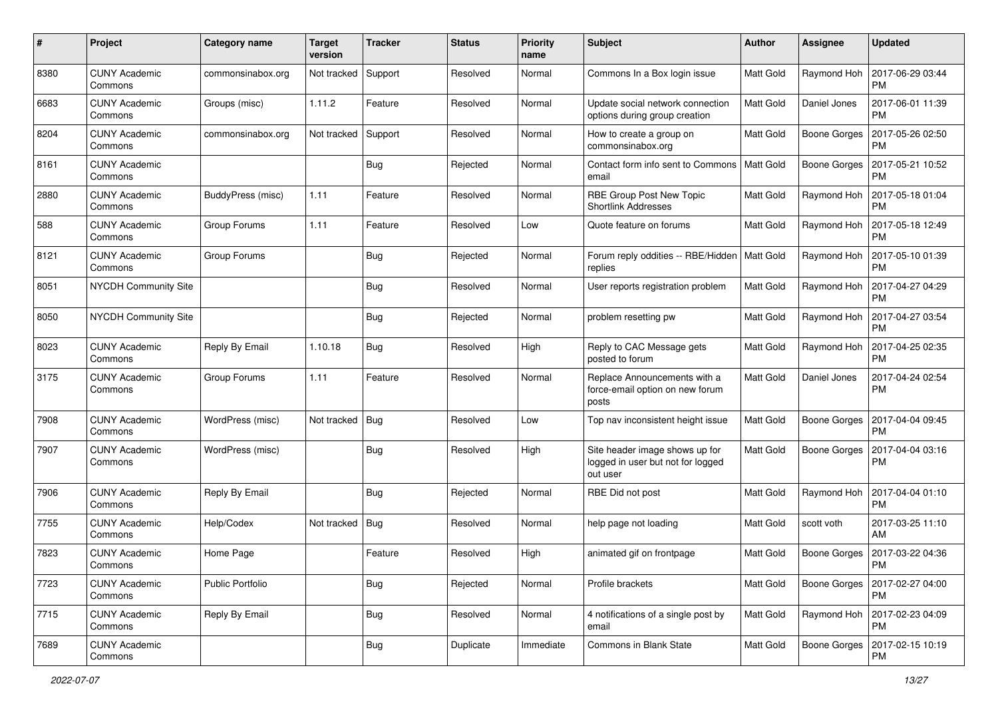| $\pmb{\#}$ | Project                         | <b>Category name</b>    | <b>Target</b><br>version | <b>Tracker</b> | <b>Status</b> | <b>Priority</b><br>name | Subject                                                                         | Author           | Assignee            | <b>Updated</b>                |
|------------|---------------------------------|-------------------------|--------------------------|----------------|---------------|-------------------------|---------------------------------------------------------------------------------|------------------|---------------------|-------------------------------|
| 8380       | <b>CUNY Academic</b><br>Commons | commonsinabox.org       | Not tracked              | Support        | Resolved      | Normal                  | Commons In a Box login issue                                                    | Matt Gold        | Raymond Hoh         | 2017-06-29 03:44<br><b>PM</b> |
| 6683       | <b>CUNY Academic</b><br>Commons | Groups (misc)           | 1.11.2                   | Feature        | Resolved      | Normal                  | Update social network connection<br>options during group creation               | Matt Gold        | Daniel Jones        | 2017-06-01 11:39<br><b>PM</b> |
| 8204       | <b>CUNY Academic</b><br>Commons | commonsinabox.org       | Not tracked              | Support        | Resolved      | Normal                  | How to create a group on<br>commonsinabox.org                                   | Matt Gold        | <b>Boone Gorges</b> | 2017-05-26 02:50<br><b>PM</b> |
| 8161       | <b>CUNY Academic</b><br>Commons |                         |                          | Bug            | Rejected      | Normal                  | Contact form info sent to Commons<br>email                                      | Matt Gold        | <b>Boone Gorges</b> | 2017-05-21 10:52<br><b>PM</b> |
| 2880       | <b>CUNY Academic</b><br>Commons | BuddyPress (misc)       | 1.11                     | Feature        | Resolved      | Normal                  | RBE Group Post New Topic<br><b>Shortlink Addresses</b>                          | Matt Gold        | Raymond Hoh         | 2017-05-18 01:04<br><b>PM</b> |
| 588        | <b>CUNY Academic</b><br>Commons | Group Forums            | 1.11                     | Feature        | Resolved      | Low                     | Quote feature on forums                                                         | Matt Gold        | Raymond Hoh         | 2017-05-18 12:49<br><b>PM</b> |
| 8121       | <b>CUNY Academic</b><br>Commons | Group Forums            |                          | Bug            | Rejected      | Normal                  | Forum reply oddities -- RBE/Hidden<br>replies                                   | Matt Gold        | Raymond Hoh         | 2017-05-10 01:39<br><b>PM</b> |
| 8051       | <b>NYCDH Community Site</b>     |                         |                          | <b>Bug</b>     | Resolved      | Normal                  | User reports registration problem                                               | Matt Gold        | Raymond Hoh         | 2017-04-27 04:29<br><b>PM</b> |
| 8050       | <b>NYCDH Community Site</b>     |                         |                          | <b>Bug</b>     | Rejected      | Normal                  | problem resetting pw                                                            | Matt Gold        | Raymond Hoh         | 2017-04-27 03:54<br><b>PM</b> |
| 8023       | <b>CUNY Academic</b><br>Commons | Reply By Email          | 1.10.18                  | Bug            | Resolved      | High                    | Reply to CAC Message gets<br>posted to forum                                    | Matt Gold        | Raymond Hoh         | 2017-04-25 02:35<br><b>PM</b> |
| 3175       | <b>CUNY Academic</b><br>Commons | Group Forums            | 1.11                     | Feature        | Resolved      | Normal                  | Replace Announcements with a<br>force-email option on new forum<br>posts        | Matt Gold        | Daniel Jones        | 2017-04-24 02:54<br><b>PM</b> |
| 7908       | <b>CUNY Academic</b><br>Commons | WordPress (misc)        | Not tracked              | Bug            | Resolved      | Low                     | Top nav inconsistent height issue                                               | Matt Gold        | <b>Boone Gorges</b> | 2017-04-04 09:45<br><b>PM</b> |
| 7907       | <b>CUNY Academic</b><br>Commons | WordPress (misc)        |                          | Bug            | Resolved      | High                    | Site header image shows up for<br>logged in user but not for logged<br>out user | Matt Gold        | Boone Gorges        | 2017-04-04 03:16<br><b>PM</b> |
| 7906       | <b>CUNY Academic</b><br>Commons | Reply By Email          |                          | <b>Bug</b>     | Rejected      | Normal                  | RBE Did not post                                                                | Matt Gold        | Raymond Hoh         | 2017-04-04 01:10<br><b>PM</b> |
| 7755       | <b>CUNY Academic</b><br>Commons | Help/Codex              | Not tracked              | Bug            | Resolved      | Normal                  | help page not loading                                                           | Matt Gold        | scott voth          | 2017-03-25 11:10<br>AM        |
| 7823       | <b>CUNY Academic</b><br>Commons | Home Page               |                          | Feature        | Resolved      | High                    | animated gif on frontpage                                                       | Matt Gold        | Boone Gorges        | 2017-03-22 04:36<br>PM        |
| 7723       | <b>CUNY Academic</b><br>Commons | <b>Public Portfolio</b> |                          | <b>Bug</b>     | Rejected      | Normal                  | Profile brackets                                                                | Matt Gold        | Boone Gorges        | 2017-02-27 04:00<br>PM        |
| 7715       | <b>CUNY Academic</b><br>Commons | Reply By Email          |                          | Bug            | Resolved      | Normal                  | 4 notifications of a single post by<br>email                                    | <b>Matt Gold</b> | Raymond Hoh         | 2017-02-23 04:09<br><b>PM</b> |
| 7689       | <b>CUNY Academic</b><br>Commons |                         |                          | <b>Bug</b>     | Duplicate     | Immediate               | Commons in Blank State                                                          | Matt Gold        | Boone Gorges        | 2017-02-15 10:19<br>РM        |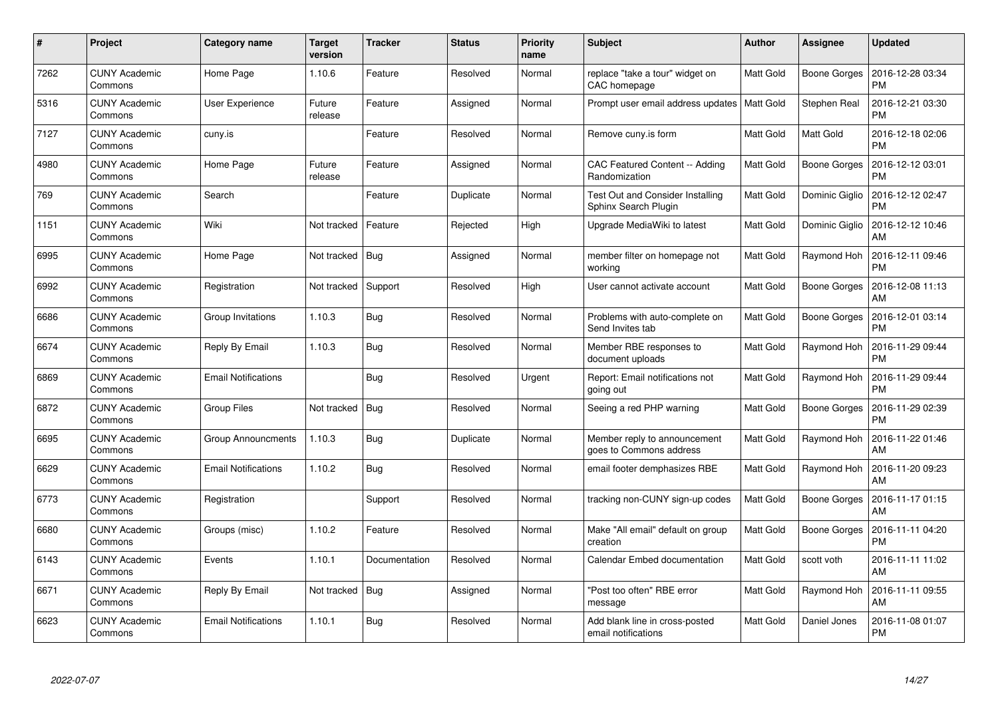| #    | Project                         | Category name              | <b>Target</b><br>version | <b>Tracker</b> | <b>Status</b> | <b>Priority</b><br>name | <b>Subject</b>                                                  | <b>Author</b> | Assignee            | <b>Updated</b>                |
|------|---------------------------------|----------------------------|--------------------------|----------------|---------------|-------------------------|-----------------------------------------------------------------|---------------|---------------------|-------------------------------|
| 7262 | <b>CUNY Academic</b><br>Commons | Home Page                  | 1.10.6                   | Feature        | Resolved      | Normal                  | replace "take a tour" widget on<br>CAC homepage                 | Matt Gold     | Boone Gorges        | 2016-12-28 03:34<br><b>PM</b> |
| 5316 | <b>CUNY Academic</b><br>Commons | User Experience            | Future<br>release        | Feature        | Assigned      | Normal                  | Prompt user email address updates   Matt Gold                   |               | <b>Stephen Real</b> | 2016-12-21 03:30<br><b>PM</b> |
| 7127 | <b>CUNY Academic</b><br>Commons | cuny.is                    |                          | Feature        | Resolved      | Normal                  | Remove cuny is form                                             | Matt Gold     | Matt Gold           | 2016-12-18 02:06<br><b>PM</b> |
| 4980 | <b>CUNY Academic</b><br>Commons | Home Page                  | Future<br>release        | Feature        | Assigned      | Normal                  | CAC Featured Content -- Adding<br>Randomization                 | Matt Gold     | Boone Gorges        | 2016-12-12 03:01<br><b>PM</b> |
| 769  | <b>CUNY Academic</b><br>Commons | Search                     |                          | Feature        | Duplicate     | Normal                  | <b>Test Out and Consider Installing</b><br>Sphinx Search Plugin | Matt Gold     | Dominic Giglio      | 2016-12-12 02:47<br><b>PM</b> |
| 1151 | <b>CUNY Academic</b><br>Commons | Wiki                       | Not tracked              | Feature        | Rejected      | High                    | Upgrade MediaWiki to latest                                     | Matt Gold     | Dominic Giglio      | 2016-12-12 10:46<br>AM        |
| 6995 | <b>CUNY Academic</b><br>Commons | Home Page                  | Not tracked              | Bug            | Assigned      | Normal                  | member filter on homepage not<br>working                        | Matt Gold     | Raymond Hoh         | 2016-12-11 09:46<br><b>PM</b> |
| 6992 | <b>CUNY Academic</b><br>Commons | Registration               | Not tracked              | Support        | Resolved      | High                    | User cannot activate account                                    | Matt Gold     | Boone Gorges        | 2016-12-08 11:13<br>AM        |
| 6686 | <b>CUNY Academic</b><br>Commons | Group Invitations          | 1.10.3                   | Bug            | Resolved      | Normal                  | Problems with auto-complete on<br>Send Invites tab              | Matt Gold     | Boone Gorges        | 2016-12-01 03:14<br><b>PM</b> |
| 6674 | <b>CUNY Academic</b><br>Commons | Reply By Email             | 1.10.3                   | Bug            | Resolved      | Normal                  | Member RBE responses to<br>document uploads                     | Matt Gold     | Raymond Hoh         | 2016-11-29 09:44<br><b>PM</b> |
| 6869 | <b>CUNY Academic</b><br>Commons | <b>Email Notifications</b> |                          | <b>Bug</b>     | Resolved      | Urgent                  | Report: Email notifications not<br>going out                    | Matt Gold     | Raymond Hoh         | 2016-11-29 09:44<br><b>PM</b> |
| 6872 | <b>CUNY Academic</b><br>Commons | Group Files                | Not tracked              | <b>Bug</b>     | Resolved      | Normal                  | Seeing a red PHP warning                                        | Matt Gold     | Boone Gorges        | 2016-11-29 02:39<br><b>PM</b> |
| 6695 | <b>CUNY Academic</b><br>Commons | <b>Group Announcments</b>  | 1.10.3                   | Bug            | Duplicate     | Normal                  | Member reply to announcement<br>goes to Commons address         | Matt Gold     | Raymond Hoh         | 2016-11-22 01:46<br>AM        |
| 6629 | <b>CUNY Academic</b><br>Commons | <b>Email Notifications</b> | 1.10.2                   | Bug            | Resolved      | Normal                  | email footer demphasizes RBE                                    | Matt Gold     | Raymond Hoh         | 2016-11-20 09:23<br>AM        |
| 6773 | <b>CUNY Academic</b><br>Commons | Registration               |                          | Support        | Resolved      | Normal                  | tracking non-CUNY sign-up codes                                 | Matt Gold     | Boone Gorges        | 2016-11-17 01:15<br>AM        |
| 6680 | <b>CUNY Academic</b><br>Commons | Groups (misc)              | 1.10.2                   | Feature        | Resolved      | Normal                  | Make "All email" default on group<br>creation                   | Matt Gold     | Boone Gorges        | 2016-11-11 04:20<br><b>PM</b> |
| 6143 | <b>CUNY Academic</b><br>Commons | Events                     | 1.10.1                   | Documentation  | Resolved      | Normal                  | Calendar Embed documentation                                    | Matt Gold     | scott voth          | 2016-11-11 11:02<br>AM        |
| 6671 | <b>CUNY Academic</b><br>Commons | Reply By Email             | Not tracked              | Bug            | Assigned      | Normal                  | 'Post too often" RBE error<br>message                           | Matt Gold     | Raymond Hoh         | 2016-11-11 09:55<br>AM        |
| 6623 | CUNY Academic<br>Commons        | <b>Email Notifications</b> | 1.10.1                   | <b>Bug</b>     | Resolved      | Normal                  | Add blank line in cross-posted<br>email notifications           | Matt Gold     | Daniel Jones        | 2016-11-08 01:07<br>PM        |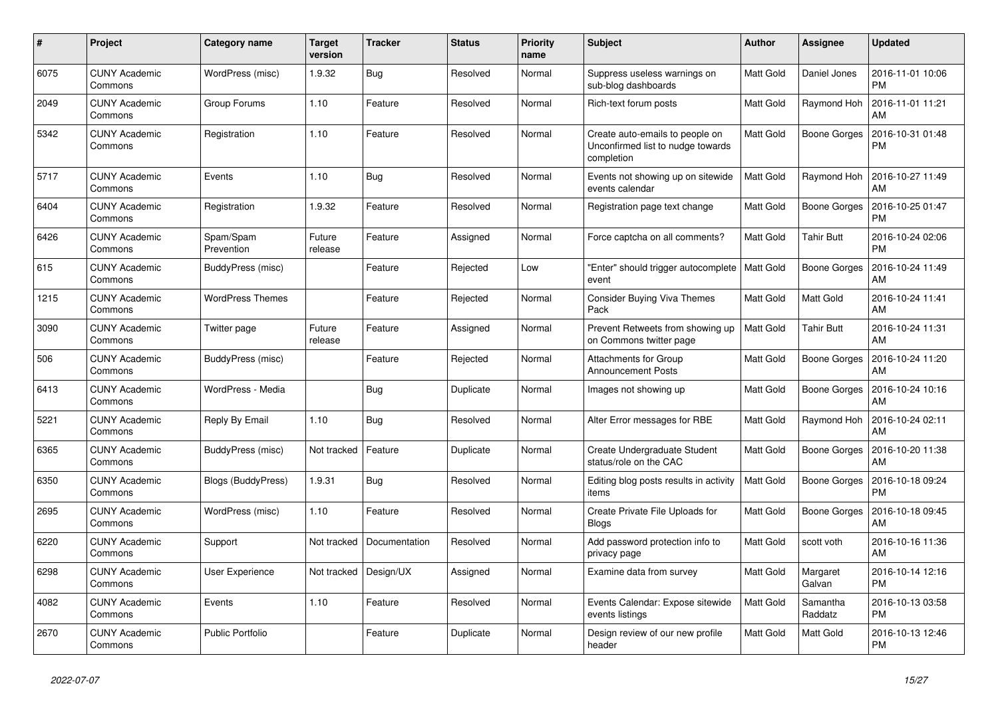| #    | Project                         | Category name           | <b>Target</b><br>version | <b>Tracker</b> | <b>Status</b> | Priority<br>name | <b>Subject</b>                                                                     | Author    | <b>Assignee</b>     | <b>Updated</b>                |
|------|---------------------------------|-------------------------|--------------------------|----------------|---------------|------------------|------------------------------------------------------------------------------------|-----------|---------------------|-------------------------------|
| 6075 | <b>CUNY Academic</b><br>Commons | WordPress (misc)        | 1.9.32                   | Bug            | Resolved      | Normal           | Suppress useless warnings on<br>sub-blog dashboards                                | Matt Gold | Daniel Jones        | 2016-11-01 10:06<br><b>PM</b> |
| 2049 | <b>CUNY Academic</b><br>Commons | Group Forums            | 1.10                     | Feature        | Resolved      | Normal           | Rich-text forum posts                                                              | Matt Gold | Raymond Hoh         | 2016-11-01 11:21<br>AM        |
| 5342 | <b>CUNY Academic</b><br>Commons | Registration            | 1.10                     | Feature        | Resolved      | Normal           | Create auto-emails to people on<br>Unconfirmed list to nudge towards<br>completion | Matt Gold | <b>Boone Gorges</b> | 2016-10-31 01:48<br><b>PM</b> |
| 5717 | <b>CUNY Academic</b><br>Commons | Events                  | 1.10                     | Bug            | Resolved      | Normal           | Events not showing up on sitewide<br>events calendar                               | Matt Gold | Raymond Hoh         | 2016-10-27 11:49<br>AM        |
| 6404 | <b>CUNY Academic</b><br>Commons | Registration            | 1.9.32                   | Feature        | Resolved      | Normal           | Registration page text change                                                      | Matt Gold | Boone Gorges        | 2016-10-25 01:47<br><b>PM</b> |
| 6426 | <b>CUNY Academic</b><br>Commons | Spam/Spam<br>Prevention | Future<br>release        | Feature        | Assigned      | Normal           | Force captcha on all comments?                                                     | Matt Gold | <b>Tahir Butt</b>   | 2016-10-24 02:06<br><b>PM</b> |
| 615  | <b>CUNY Academic</b><br>Commons | BuddyPress (misc)       |                          | Feature        | Rejected      | Low              | 'Enter" should trigger autocomplete<br>event                                       | Matt Gold | <b>Boone Gorges</b> | 2016-10-24 11:49<br>AM        |
| 1215 | <b>CUNY Academic</b><br>Commons | <b>WordPress Themes</b> |                          | Feature        | Rejected      | Normal           | Consider Buying Viva Themes<br>Pack                                                | Matt Gold | Matt Gold           | 2016-10-24 11:41<br>AM        |
| 3090 | <b>CUNY Academic</b><br>Commons | Twitter page            | Future<br>release        | Feature        | Assigned      | Normal           | Prevent Retweets from showing up<br>on Commons twitter page                        | Matt Gold | <b>Tahir Butt</b>   | 2016-10-24 11:31<br>AM        |
| 506  | <b>CUNY Academic</b><br>Commons | BuddyPress (misc)       |                          | Feature        | Rejected      | Normal           | Attachments for Group<br><b>Announcement Posts</b>                                 | Matt Gold | <b>Boone Gorges</b> | 2016-10-24 11:20<br>AM        |
| 6413 | <b>CUNY Academic</b><br>Commons | WordPress - Media       |                          | Bug            | Duplicate     | Normal           | Images not showing up                                                              | Matt Gold | Boone Gorges        | 2016-10-24 10:16<br>AM        |
| 5221 | <b>CUNY Academic</b><br>Commons | Reply By Email          | 1.10                     | <b>Bug</b>     | Resolved      | Normal           | Alter Error messages for RBE                                                       | Matt Gold | Raymond Hoh         | 2016-10-24 02:11<br>AM        |
| 6365 | <b>CUNY Academic</b><br>Commons | BuddyPress (misc)       | Not tracked              | Feature        | Duplicate     | Normal           | Create Undergraduate Student<br>status/role on the CAC                             | Matt Gold | <b>Boone Gorges</b> | 2016-10-20 11:38<br>AM        |
| 6350 | <b>CUNY Academic</b><br>Commons | Blogs (BuddyPress)      | 1.9.31                   | Bug            | Resolved      | Normal           | Editing blog posts results in activity<br>items                                    | Matt Gold | Boone Gorges        | 2016-10-18 09:24<br><b>PM</b> |
| 2695 | <b>CUNY Academic</b><br>Commons | WordPress (misc)        | 1.10                     | Feature        | Resolved      | Normal           | Create Private File Uploads for<br><b>Blogs</b>                                    | Matt Gold | Boone Gorges        | 2016-10-18 09:45<br>AM        |
| 6220 | <b>CUNY Academic</b><br>Commons | Support                 | Not tracked              | Documentation  | Resolved      | Normal           | Add password protection info to<br>privacy page                                    | Matt Gold | scott voth          | 2016-10-16 11:36<br>AM        |
| 6298 | <b>CUNY Academic</b><br>Commons | User Experience         | Not tracked              | Design/UX      | Assigned      | Normal           | Examine data from survey                                                           | Matt Gold | Margaret<br>Galvan  | 2016-10-14 12:16<br><b>PM</b> |
| 4082 | <b>CUNY Academic</b><br>Commons | Events                  | 1.10                     | Feature        | Resolved      | Normal           | Events Calendar: Expose sitewide<br>events listings                                | Matt Gold | Samantha<br>Raddatz | 2016-10-13 03:58<br><b>PM</b> |
| 2670 | <b>CUNY Academic</b><br>Commons | <b>Public Portfolio</b> |                          | Feature        | Duplicate     | Normal           | Design review of our new profile<br>header                                         | Matt Gold | Matt Gold           | 2016-10-13 12:46<br><b>PM</b> |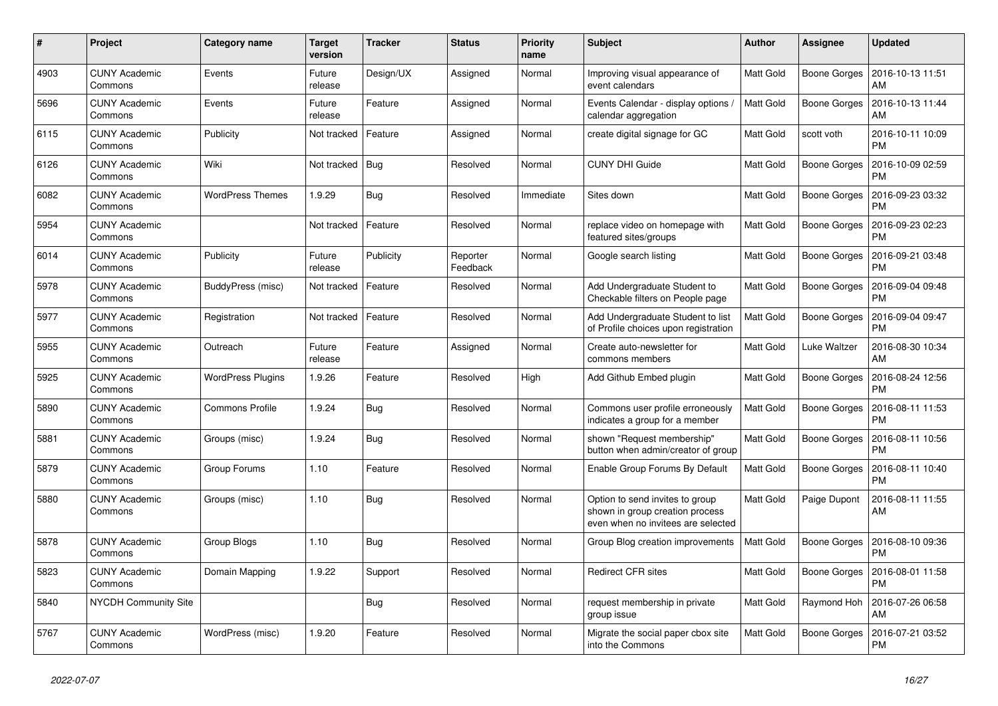| #    | Project                         | Category name            | <b>Target</b><br>version | <b>Tracker</b> | <b>Status</b>        | <b>Priority</b><br>name | <b>Subject</b>                                                                                           | <b>Author</b> | Assignee            | <b>Updated</b>                |
|------|---------------------------------|--------------------------|--------------------------|----------------|----------------------|-------------------------|----------------------------------------------------------------------------------------------------------|---------------|---------------------|-------------------------------|
| 4903 | <b>CUNY Academic</b><br>Commons | Events                   | Future<br>release        | Design/UX      | Assigned             | Normal                  | Improving visual appearance of<br>event calendars                                                        | Matt Gold     | Boone Gorges        | 2016-10-13 11:51<br>AM        |
| 5696 | <b>CUNY Academic</b><br>Commons | Events                   | Future<br>release        | Feature        | Assigned             | Normal                  | Events Calendar - display options /<br>calendar aggregation                                              | Matt Gold     | <b>Boone Gorges</b> | 2016-10-13 11:44<br>AM        |
| 6115 | <b>CUNY Academic</b><br>Commons | Publicity                | Not tracked              | Feature        | Assigned             | Normal                  | create digital signage for GC                                                                            | Matt Gold     | scott voth          | 2016-10-11 10:09<br><b>PM</b> |
| 6126 | <b>CUNY Academic</b><br>Commons | Wiki                     | Not tracked              | Bug            | Resolved             | Normal                  | <b>CUNY DHI Guide</b>                                                                                    | Matt Gold     | Boone Gorges        | 2016-10-09 02:59<br><b>PM</b> |
| 6082 | <b>CUNY Academic</b><br>Commons | <b>WordPress Themes</b>  | 1.9.29                   | Bug            | Resolved             | Immediate               | Sites down                                                                                               | Matt Gold     | <b>Boone Gorges</b> | 2016-09-23 03:32<br><b>PM</b> |
| 5954 | <b>CUNY Academic</b><br>Commons |                          | Not tracked              | Feature        | Resolved             | Normal                  | replace video on homepage with<br>featured sites/groups                                                  | Matt Gold     | Boone Gorges        | 2016-09-23 02:23<br><b>PM</b> |
| 6014 | <b>CUNY Academic</b><br>Commons | Publicity                | Future<br>release        | Publicity      | Reporter<br>Feedback | Normal                  | Google search listing                                                                                    | Matt Gold     | Boone Gorges        | 2016-09-21 03:48<br><b>PM</b> |
| 5978 | <b>CUNY Academic</b><br>Commons | BuddyPress (misc)        | Not tracked              | Feature        | Resolved             | Normal                  | Add Undergraduate Student to<br>Checkable filters on People page                                         | Matt Gold     | Boone Gorges        | 2016-09-04 09:48<br><b>PM</b> |
| 5977 | <b>CUNY Academic</b><br>Commons | Registration             | Not tracked              | Feature        | Resolved             | Normal                  | Add Undergraduate Student to list<br>of Profile choices upon registration                                | Matt Gold     | <b>Boone Gorges</b> | 2016-09-04 09:47<br><b>PM</b> |
| 5955 | <b>CUNY Academic</b><br>Commons | Outreach                 | Future<br>release        | Feature        | Assigned             | Normal                  | Create auto-newsletter for<br>commons members                                                            | Matt Gold     | Luke Waltzer        | 2016-08-30 10:34<br>AM        |
| 5925 | <b>CUNY Academic</b><br>Commons | <b>WordPress Plugins</b> | 1.9.26                   | Feature        | Resolved             | High                    | Add Github Embed plugin                                                                                  | Matt Gold     | <b>Boone Gorges</b> | 2016-08-24 12:56<br><b>PM</b> |
| 5890 | <b>CUNY Academic</b><br>Commons | <b>Commons Profile</b>   | 1.9.24                   | Bug            | Resolved             | Normal                  | Commons user profile erroneously<br>indicates a group for a member                                       | Matt Gold     | <b>Boone Gorges</b> | 2016-08-11 11:53<br><b>PM</b> |
| 5881 | <b>CUNY Academic</b><br>Commons | Groups (misc)            | 1.9.24                   | Bug            | Resolved             | Normal                  | shown "Request membership"<br>button when admin/creator of group                                         | Matt Gold     | Boone Gorges        | 2016-08-11 10:56<br><b>PM</b> |
| 5879 | <b>CUNY Academic</b><br>Commons | Group Forums             | 1.10                     | Feature        | Resolved             | Normal                  | Enable Group Forums By Default                                                                           | Matt Gold     | Boone Gorges        | 2016-08-11 10:40<br><b>PM</b> |
| 5880 | <b>CUNY Academic</b><br>Commons | Groups (misc)            | 1.10                     | Bug            | Resolved             | Normal                  | Option to send invites to group<br>shown in group creation process<br>even when no invitees are selected | Matt Gold     | Paige Dupont        | 2016-08-11 11:55<br>AM        |
| 5878 | <b>CUNY Academic</b><br>Commons | Group Blogs              | 1.10                     | <b>Bug</b>     | Resolved             | Normal                  | Group Blog creation improvements                                                                         | Matt Gold     | Boone Gorges        | 2016-08-10 09:36<br><b>PM</b> |
| 5823 | <b>CUNY Academic</b><br>Commons | Domain Mapping           | 1.9.22                   | Support        | Resolved             | Normal                  | <b>Redirect CFR sites</b>                                                                                | Matt Gold     | Boone Gorges        | 2016-08-01 11:58<br><b>PM</b> |
| 5840 | <b>NYCDH Community Site</b>     |                          |                          | <b>Bug</b>     | Resolved             | Normal                  | request membership in private<br>group issue                                                             | Matt Gold     | Raymond Hoh         | 2016-07-26 06:58<br>AM        |
| 5767 | <b>CUNY Academic</b><br>Commons | WordPress (misc)         | 1.9.20                   | Feature        | Resolved             | Normal                  | Migrate the social paper cbox site<br>into the Commons                                                   | Matt Gold     | <b>Boone Gorges</b> | 2016-07-21 03:52<br><b>PM</b> |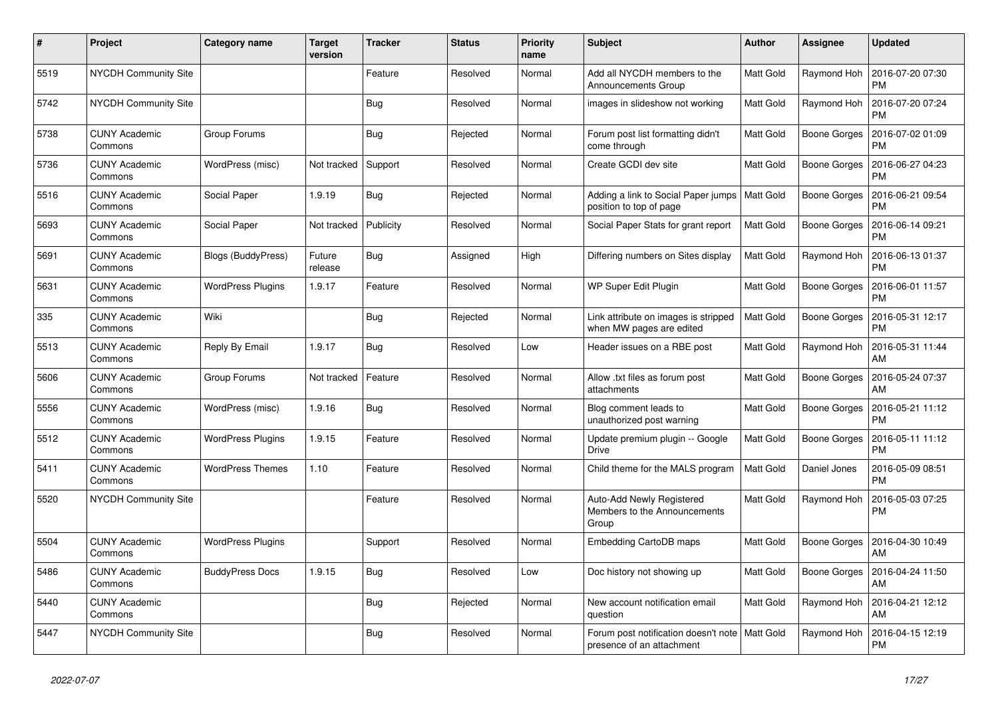| #    | Project                         | <b>Category name</b>      | <b>Target</b><br>version | <b>Tracker</b> | <b>Status</b> | <b>Priority</b><br>name | <b>Subject</b>                                                                | <b>Author</b> | <b>Assignee</b>     | <b>Updated</b>                |
|------|---------------------------------|---------------------------|--------------------------|----------------|---------------|-------------------------|-------------------------------------------------------------------------------|---------------|---------------------|-------------------------------|
| 5519 | NYCDH Community Site            |                           |                          | Feature        | Resolved      | Normal                  | Add all NYCDH members to the<br>Announcements Group                           | Matt Gold     | Raymond Hoh         | 2016-07-20 07:30<br><b>PM</b> |
| 5742 | <b>NYCDH Community Site</b>     |                           |                          | Bug            | Resolved      | Normal                  | images in slideshow not working                                               | Matt Gold     | Raymond Hoh         | 2016-07-20 07:24<br><b>PM</b> |
| 5738 | <b>CUNY Academic</b><br>Commons | Group Forums              |                          | <b>Bug</b>     | Rejected      | Normal                  | Forum post list formatting didn't<br>come through                             | Matt Gold     | Boone Gorges        | 2016-07-02 01:09<br><b>PM</b> |
| 5736 | <b>CUNY Academic</b><br>Commons | WordPress (misc)          | Not tracked              | Support        | Resolved      | Normal                  | Create GCDI dev site                                                          | Matt Gold     | Boone Gorges        | 2016-06-27 04:23<br><b>PM</b> |
| 5516 | <b>CUNY Academic</b><br>Commons | Social Paper              | 1.9.19                   | Bug            | Rejected      | Normal                  | Adding a link to Social Paper jumps<br>position to top of page                | Matt Gold     | Boone Gorges        | 2016-06-21 09:54<br><b>PM</b> |
| 5693 | <b>CUNY Academic</b><br>Commons | Social Paper              | Not tracked              | Publicity      | Resolved      | Normal                  | Social Paper Stats for grant report                                           | Matt Gold     | Boone Gorges        | 2016-06-14 09:21<br><b>PM</b> |
| 5691 | <b>CUNY Academic</b><br>Commons | <b>Blogs (BuddyPress)</b> | Future<br>release        | Bug            | Assigned      | High                    | Differing numbers on Sites display                                            | Matt Gold     | Raymond Hoh         | 2016-06-13 01:37<br><b>PM</b> |
| 5631 | <b>CUNY Academic</b><br>Commons | <b>WordPress Plugins</b>  | 1.9.17                   | Feature        | Resolved      | Normal                  | WP Super Edit Plugin                                                          | Matt Gold     | Boone Gorges        | 2016-06-01 11:57<br><b>PM</b> |
| 335  | <b>CUNY Academic</b><br>Commons | Wiki                      |                          | Bug            | Rejected      | Normal                  | Link attribute on images is stripped<br>when MW pages are edited              | Matt Gold     | Boone Gorges        | 2016-05-31 12:17<br><b>PM</b> |
| 5513 | <b>CUNY Academic</b><br>Commons | Reply By Email            | 1.9.17                   | <b>Bug</b>     | Resolved      | Low                     | Header issues on a RBE post                                                   | Matt Gold     | Raymond Hoh         | 2016-05-31 11:44<br>AM        |
| 5606 | <b>CUNY Academic</b><br>Commons | Group Forums              | Not tracked              | Feature        | Resolved      | Normal                  | Allow .txt files as forum post<br>attachments                                 | Matt Gold     | Boone Gorges        | 2016-05-24 07:37<br>AM        |
| 5556 | <b>CUNY Academic</b><br>Commons | WordPress (misc)          | 1.9.16                   | Bug            | Resolved      | Normal                  | Blog comment leads to<br>unauthorized post warning                            | Matt Gold     | <b>Boone Gorges</b> | 2016-05-21 11:12<br><b>PM</b> |
| 5512 | <b>CUNY Academic</b><br>Commons | <b>WordPress Plugins</b>  | 1.9.15                   | Feature        | Resolved      | Normal                  | Update premium plugin -- Google<br><b>Drive</b>                               | Matt Gold     | Boone Gorges        | 2016-05-11 11:12<br><b>PM</b> |
| 5411 | <b>CUNY Academic</b><br>Commons | <b>WordPress Themes</b>   | 1.10                     | Feature        | Resolved      | Normal                  | Child theme for the MALS program                                              | Matt Gold     | Daniel Jones        | 2016-05-09 08:51<br><b>PM</b> |
| 5520 | NYCDH Community Site            |                           |                          | Feature        | Resolved      | Normal                  | Auto-Add Newly Registered<br>Members to the Announcements<br>Group            | Matt Gold     | Raymond Hoh         | 2016-05-03 07:25<br>PM        |
| 5504 | <b>CUNY Academic</b><br>Commons | <b>WordPress Plugins</b>  |                          | Support        | Resolved      | Normal                  | Embedding CartoDB maps                                                        | Matt Gold     | Boone Gorges        | 2016-04-30 10:49<br>AM        |
| 5486 | <b>CUNY Academic</b><br>Commons | <b>BuddyPress Docs</b>    | 1.9.15                   | Bug            | Resolved      | Low                     | Doc history not showing up                                                    | Matt Gold     | Boone Gorges        | 2016-04-24 11:50<br>AM        |
| 5440 | <b>CUNY Academic</b><br>Commons |                           |                          | <b>Bug</b>     | Rejected      | Normal                  | New account notification email<br>question                                    | Matt Gold     | Raymond Hoh         | 2016-04-21 12:12<br>AM        |
| 5447 | <b>NYCDH Community Site</b>     |                           |                          | <b>Bug</b>     | Resolved      | Normal                  | Forum post notification doesn't note   Matt Gold<br>presence of an attachment |               | Raymond Hoh         | 2016-04-15 12:19<br><b>PM</b> |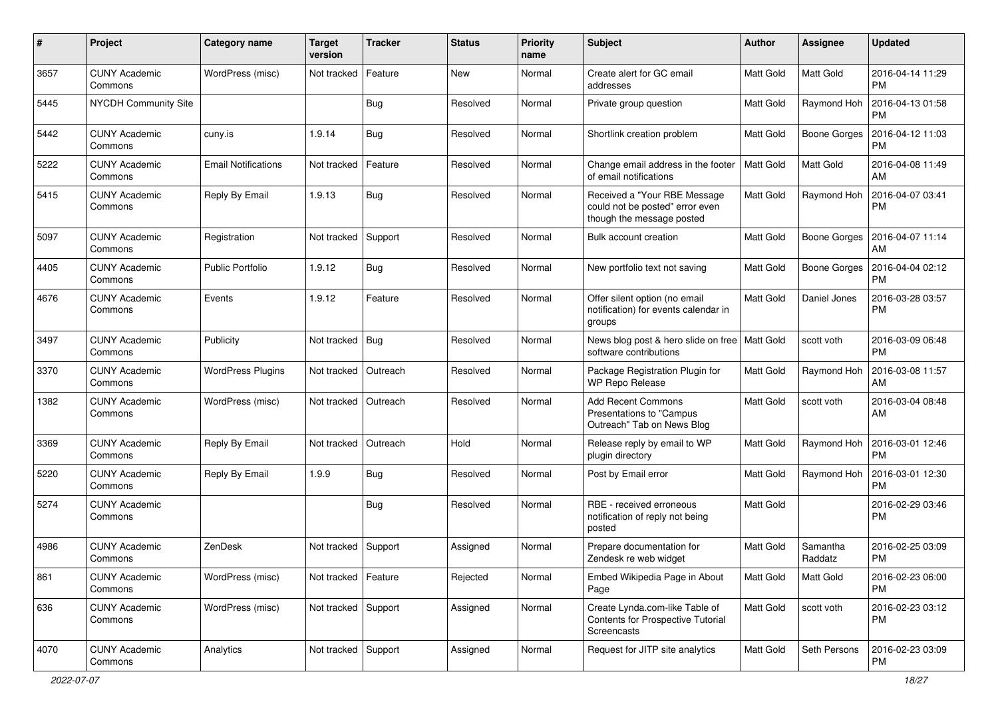| #    | Project                         | Category name              | <b>Target</b><br>version | <b>Tracker</b> | <b>Status</b> | <b>Priority</b><br>name | Subject                                                                                      | Author           | Assignee            | <b>Updated</b>                |
|------|---------------------------------|----------------------------|--------------------------|----------------|---------------|-------------------------|----------------------------------------------------------------------------------------------|------------------|---------------------|-------------------------------|
| 3657 | <b>CUNY Academic</b><br>Commons | WordPress (misc)           | Not tracked              | Feature        | <b>New</b>    | Normal                  | Create alert for GC email<br>addresses                                                       | Matt Gold        | Matt Gold           | 2016-04-14 11:29<br><b>PM</b> |
| 5445 | <b>NYCDH Community Site</b>     |                            |                          | <b>Bug</b>     | Resolved      | Normal                  | Private group question                                                                       | Matt Gold        | Raymond Hoh         | 2016-04-13 01:58<br><b>PM</b> |
| 5442 | <b>CUNY Academic</b><br>Commons | cuny.is                    | 1.9.14                   | <b>Bug</b>     | Resolved      | Normal                  | Shortlink creation problem                                                                   | Matt Gold        | <b>Boone Gorges</b> | 2016-04-12 11:03<br><b>PM</b> |
| 5222 | <b>CUNY Academic</b><br>Commons | <b>Email Notifications</b> | Not tracked              | Feature        | Resolved      | Normal                  | Change email address in the footer<br>of email notifications                                 | <b>Matt Gold</b> | <b>Matt Gold</b>    | 2016-04-08 11:49<br>AM        |
| 5415 | <b>CUNY Academic</b><br>Commons | Reply By Email             | 1.9.13                   | <b>Bug</b>     | Resolved      | Normal                  | Received a "Your RBE Message<br>could not be posted" error even<br>though the message posted | Matt Gold        | Raymond Hoh         | 2016-04-07 03:41<br><b>PM</b> |
| 5097 | <b>CUNY Academic</b><br>Commons | Registration               | Not tracked              | Support        | Resolved      | Normal                  | Bulk account creation                                                                        | Matt Gold        | Boone Gorges        | 2016-04-07 11:14<br>AM        |
| 4405 | <b>CUNY Academic</b><br>Commons | <b>Public Portfolio</b>    | 1.9.12                   | Bug            | Resolved      | Normal                  | New portfolio text not saving                                                                | Matt Gold        | Boone Gorges        | 2016-04-04 02:12<br><b>PM</b> |
| 4676 | <b>CUNY Academic</b><br>Commons | Events                     | 1.9.12                   | Feature        | Resolved      | Normal                  | Offer silent option (no email<br>notification) for events calendar in<br>groups              | Matt Gold        | Daniel Jones        | 2016-03-28 03:57<br><b>PM</b> |
| 3497 | <b>CUNY Academic</b><br>Commons | Publicity                  | Not tracked              | Bug            | Resolved      | Normal                  | News blog post & hero slide on free   Matt Gold<br>software contributions                    |                  | scott voth          | 2016-03-09 06:48<br><b>PM</b> |
| 3370 | <b>CUNY Academic</b><br>Commons | <b>WordPress Plugins</b>   | Not tracked              | Outreach       | Resolved      | Normal                  | Package Registration Plugin for<br>WP Repo Release                                           | Matt Gold        | Raymond Hoh         | 2016-03-08 11:57<br>AM        |
| 1382 | <b>CUNY Academic</b><br>Commons | WordPress (misc)           | Not tracked              | Outreach       | Resolved      | Normal                  | <b>Add Recent Commons</b><br>Presentations to "Campus"<br>Outreach" Tab on News Blog         | Matt Gold        | scott voth          | 2016-03-04 08:48<br>AM        |
| 3369 | <b>CUNY Academic</b><br>Commons | Reply By Email             | Not tracked              | Outreach       | Hold          | Normal                  | Release reply by email to WP<br>plugin directory                                             | Matt Gold        | Raymond Hoh         | 2016-03-01 12:46<br><b>PM</b> |
| 5220 | <b>CUNY Academic</b><br>Commons | Reply By Email             | 1.9.9                    | <b>Bug</b>     | Resolved      | Normal                  | Post by Email error                                                                          | Matt Gold        | Raymond Hoh         | 2016-03-01 12:30<br><b>PM</b> |
| 5274 | <b>CUNY Academic</b><br>Commons |                            |                          | Bug            | Resolved      | Normal                  | RBE - received erroneous<br>notification of reply not being<br>posted                        | Matt Gold        |                     | 2016-02-29 03:46<br><b>PM</b> |
| 4986 | <b>CUNY Academic</b><br>Commons | ZenDesk                    | Not tracked              | Support        | Assigned      | Normal                  | Prepare documentation for<br>Zendesk re web widget                                           | Matt Gold        | Samantha<br>Raddatz | 2016-02-25 03:09<br><b>PM</b> |
| 861  | <b>CUNY Academic</b><br>Commons | WordPress (misc)           | Not tracked              | Feature        | Rejected      | Normal                  | Embed Wikipedia Page in About<br>Page                                                        | Matt Gold        | Matt Gold           | 2016-02-23 06:00<br><b>PM</b> |
| 636  | <b>CUNY Academic</b><br>Commons | WordPress (misc)           | Not tracked Support      |                | Assigned      | Normal                  | Create Lynda.com-like Table of<br>Contents for Prospective Tutorial<br>Screencasts           | Matt Gold        | scott voth          | 2016-02-23 03:12<br><b>PM</b> |
| 4070 | <b>CUNY Academic</b><br>Commons | Analytics                  | Not tracked              | Support        | Assigned      | Normal                  | Request for JITP site analytics                                                              | Matt Gold        | Seth Persons        | 2016-02-23 03:09<br>PM        |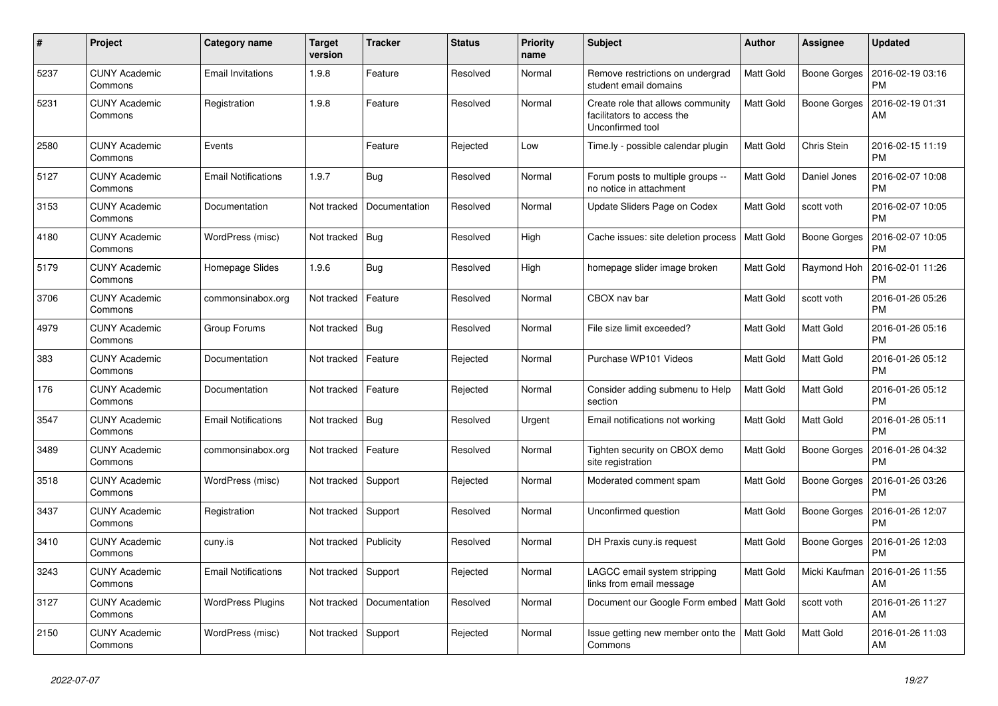| #    | Project                         | Category name              | <b>Target</b><br>version | <b>Tracker</b> | <b>Status</b> | <b>Priority</b><br>name | <b>Subject</b>                                                                      | Author           | <b>Assignee</b>     | <b>Updated</b>                |
|------|---------------------------------|----------------------------|--------------------------|----------------|---------------|-------------------------|-------------------------------------------------------------------------------------|------------------|---------------------|-------------------------------|
| 5237 | <b>CUNY Academic</b><br>Commons | <b>Email Invitations</b>   | 1.9.8                    | Feature        | Resolved      | Normal                  | Remove restrictions on undergrad<br>student email domains                           | Matt Gold        | Boone Gorges        | 2016-02-19 03:16<br><b>PM</b> |
| 5231 | <b>CUNY Academic</b><br>Commons | Registration               | 1.9.8                    | Feature        | Resolved      | Normal                  | Create role that allows community<br>facilitators to access the<br>Unconfirmed tool | Matt Gold        | <b>Boone Gorges</b> | 2016-02-19 01:31<br>AM        |
| 2580 | <b>CUNY Academic</b><br>Commons | Events                     |                          | Feature        | Rejected      | Low                     | Time.ly - possible calendar plugin                                                  | <b>Matt Gold</b> | Chris Stein         | 2016-02-15 11:19<br><b>PM</b> |
| 5127 | <b>CUNY Academic</b><br>Commons | <b>Email Notifications</b> | 1.9.7                    | Bug            | Resolved      | Normal                  | Forum posts to multiple groups --<br>no notice in attachment                        | Matt Gold        | Daniel Jones        | 2016-02-07 10:08<br><b>PM</b> |
| 3153 | <b>CUNY Academic</b><br>Commons | Documentation              | Not tracked              | Documentation  | Resolved      | Normal                  | Update Sliders Page on Codex                                                        | Matt Gold        | scott voth          | 2016-02-07 10:05<br><b>PM</b> |
| 4180 | <b>CUNY Academic</b><br>Commons | WordPress (misc)           | Not tracked              | Bug            | Resolved      | High                    | Cache issues: site deletion process                                                 | Matt Gold        | <b>Boone Gorges</b> | 2016-02-07 10:05<br><b>PM</b> |
| 5179 | <b>CUNY Academic</b><br>Commons | Homepage Slides            | 1.9.6                    | Bug            | Resolved      | High                    | homepage slider image broken                                                        | Matt Gold        | Raymond Hoh         | 2016-02-01 11:26<br><b>PM</b> |
| 3706 | <b>CUNY Academic</b><br>Commons | commonsinabox.org          | Not tracked              | Feature        | Resolved      | Normal                  | CBOX nav bar                                                                        | Matt Gold        | scott voth          | 2016-01-26 05:26<br><b>PM</b> |
| 4979 | <b>CUNY Academic</b><br>Commons | Group Forums               | Not tracked              | Bug            | Resolved      | Normal                  | File size limit exceeded?                                                           | Matt Gold        | Matt Gold           | 2016-01-26 05:16<br><b>PM</b> |
| 383  | <b>CUNY Academic</b><br>Commons | Documentation              | Not tracked              | Feature        | Rejected      | Normal                  | Purchase WP101 Videos                                                               | Matt Gold        | <b>Matt Gold</b>    | 2016-01-26 05:12<br><b>PM</b> |
| 176  | <b>CUNY Academic</b><br>Commons | Documentation              | Not tracked              | Feature        | Rejected      | Normal                  | Consider adding submenu to Help<br>section                                          | Matt Gold        | <b>Matt Gold</b>    | 2016-01-26 05:12<br><b>PM</b> |
| 3547 | <b>CUNY Academic</b><br>Commons | <b>Email Notifications</b> | Not tracked              | <b>Bug</b>     | Resolved      | Urgent                  | Email notifications not working                                                     | Matt Gold        | Matt Gold           | 2016-01-26 05:11<br><b>PM</b> |
| 3489 | <b>CUNY Academic</b><br>Commons | commonsinabox.org          | Not tracked              | Feature        | Resolved      | Normal                  | Tighten security on CBOX demo<br>site registration                                  | Matt Gold        | Boone Gorges        | 2016-01-26 04:32<br><b>PM</b> |
| 3518 | <b>CUNY Academic</b><br>Commons | WordPress (misc)           | Not tracked              | Support        | Rejected      | Normal                  | Moderated comment spam                                                              | Matt Gold        | Boone Gorges        | 2016-01-26 03:26<br><b>PM</b> |
| 3437 | <b>CUNY Academic</b><br>Commons | Registration               | Not tracked              | Support        | Resolved      | Normal                  | Unconfirmed question                                                                | Matt Gold        | Boone Gorges        | 2016-01-26 12:07<br><b>PM</b> |
| 3410 | <b>CUNY Academic</b><br>Commons | cuny.is                    | Not tracked              | Publicity      | Resolved      | Normal                  | DH Praxis cuny is request                                                           | Matt Gold        | Boone Gorges        | 2016-01-26 12:03<br>РM        |
| 3243 | CUNY Academic<br>Commons        | <b>Email Notifications</b> | Not tracked              | Support        | Rejected      | Normal                  | LAGCC email system stripping<br>links from email message                            | Matt Gold        | Micki Kaufman       | 2016-01-26 11:55<br>AM        |
| 3127 | <b>CUNY Academic</b><br>Commons | <b>WordPress Plugins</b>   | Not tracked              | Documentation  | Resolved      | Normal                  | Document our Google Form embed   Matt Gold                                          |                  | scott voth          | 2016-01-26 11:27<br>AM        |
| 2150 | <b>CUNY Academic</b><br>Commons | WordPress (misc)           | Not tracked              | Support        | Rejected      | Normal                  | Issue getting new member onto the<br>Commons                                        | Matt Gold        | <b>Matt Gold</b>    | 2016-01-26 11:03<br>AM        |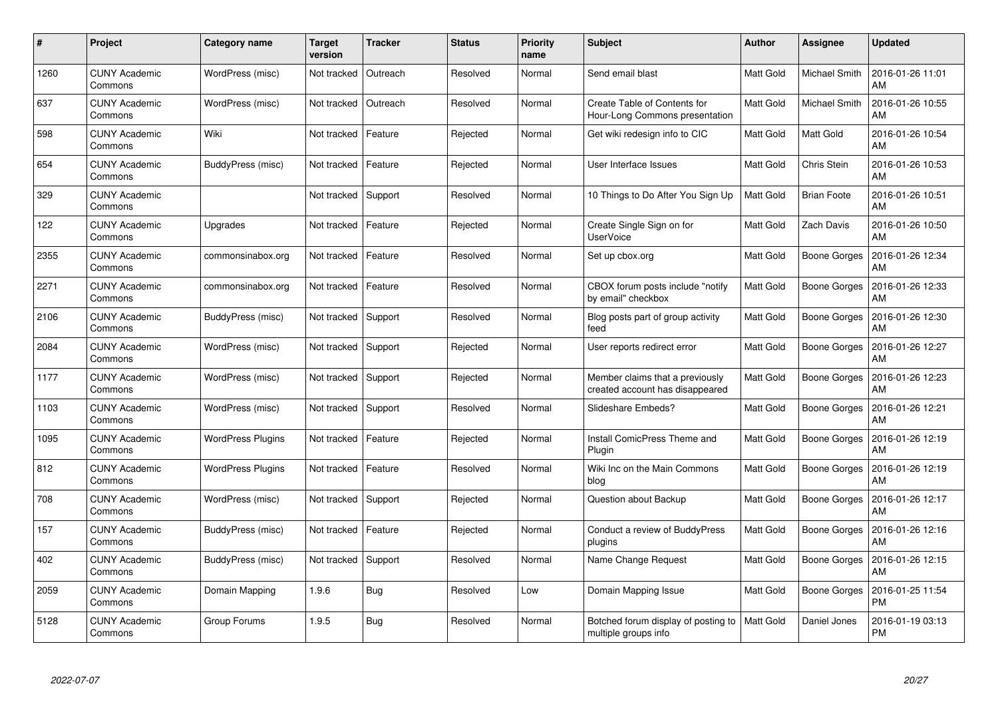| #    | Project                         | Category name            | <b>Target</b><br>version | <b>Tracker</b> | <b>Status</b> | <b>Priority</b><br>name | <b>Subject</b>                                                     | <b>Author</b>    | Assignee            | <b>Updated</b>                |
|------|---------------------------------|--------------------------|--------------------------|----------------|---------------|-------------------------|--------------------------------------------------------------------|------------------|---------------------|-------------------------------|
| 1260 | <b>CUNY Academic</b><br>Commons | WordPress (misc)         | Not tracked              | Outreach       | Resolved      | Normal                  | Send email blast                                                   | <b>Matt Gold</b> | Michael Smith       | 2016-01-26 11:01<br>AM        |
| 637  | <b>CUNY Academic</b><br>Commons | WordPress (misc)         | Not tracked              | Outreach       | Resolved      | Normal                  | Create Table of Contents for<br>Hour-Long Commons presentation     | Matt Gold        | Michael Smith       | 2016-01-26 10:55<br>AM        |
| 598  | <b>CUNY Academic</b><br>Commons | Wiki                     | Not tracked              | Feature        | Rejected      | Normal                  | Get wiki redesign info to CIC                                      | Matt Gold        | Matt Gold           | 2016-01-26 10:54<br>AM        |
| 654  | <b>CUNY Academic</b><br>Commons | BuddyPress (misc)        | Not tracked              | Feature        | Rejected      | Normal                  | User Interface Issues                                              | Matt Gold        | Chris Stein         | 2016-01-26 10:53<br>AM        |
| 329  | <b>CUNY Academic</b><br>Commons |                          | Not tracked              | Support        | Resolved      | Normal                  | 10 Things to Do After You Sign Up                                  | Matt Gold        | <b>Brian Foote</b>  | 2016-01-26 10:51<br>AM        |
| 122  | <b>CUNY Academic</b><br>Commons | Upgrades                 | Not tracked              | Feature        | Rejected      | Normal                  | Create Single Sign on for<br><b>UserVoice</b>                      | Matt Gold        | <b>Zach Davis</b>   | 2016-01-26 10:50<br>AM        |
| 2355 | <b>CUNY Academic</b><br>Commons | commonsinabox.org        | Not tracked              | Feature        | Resolved      | Normal                  | Set up cbox.org                                                    | Matt Gold        | <b>Boone Gorges</b> | 2016-01-26 12:34<br>AM        |
| 2271 | <b>CUNY Academic</b><br>Commons | commonsinabox.org        | Not tracked              | Feature        | Resolved      | Normal                  | CBOX forum posts include "notify<br>by email" checkbox             | Matt Gold        | Boone Gorges        | 2016-01-26 12:33<br>AM        |
| 2106 | <b>CUNY Academic</b><br>Commons | BuddyPress (misc)        | Not tracked              | Support        | Resolved      | Normal                  | Blog posts part of group activity<br>feed                          | Matt Gold        | Boone Gorges        | 2016-01-26 12:30<br>AM        |
| 2084 | <b>CUNY Academic</b><br>Commons | WordPress (misc)         | Not tracked              | Support        | Rejected      | Normal                  | User reports redirect error                                        | Matt Gold        | Boone Gorges        | 2016-01-26 12:27<br>AM        |
| 1177 | <b>CUNY Academic</b><br>Commons | WordPress (misc)         | Not tracked              | Support        | Rejected      | Normal                  | Member claims that a previously<br>created account has disappeared | Matt Gold        | <b>Boone Gorges</b> | 2016-01-26 12:23<br>AM        |
| 1103 | <b>CUNY Academic</b><br>Commons | WordPress (misc)         | Not tracked              | Support        | Resolved      | Normal                  | Slideshare Embeds?                                                 | Matt Gold        | Boone Gorges        | 2016-01-26 12:21<br>AM        |
| 1095 | <b>CUNY Academic</b><br>Commons | <b>WordPress Plugins</b> | Not tracked              | Feature        | Rejected      | Normal                  | Install ComicPress Theme and<br>Plugin                             | Matt Gold        | Boone Gorges        | 2016-01-26 12:19<br>AM        |
| 812  | <b>CUNY Academic</b><br>Commons | <b>WordPress Plugins</b> | Not tracked              | Feature        | Resolved      | Normal                  | Wiki Inc on the Main Commons<br>blog                               | Matt Gold        | <b>Boone Gorges</b> | 2016-01-26 12:19<br>AM        |
| 708  | <b>CUNY Academic</b><br>Commons | WordPress (misc)         | Not tracked              | Support        | Rejected      | Normal                  | Question about Backup                                              | Matt Gold        | <b>Boone Gorges</b> | 2016-01-26 12:17<br>AM        |
| 157  | <b>CUNY Academic</b><br>Commons | BuddyPress (misc)        | Not tracked              | Feature        | Rejected      | Normal                  | Conduct a review of BuddyPress<br>plugins                          | Matt Gold        | Boone Gorges        | 2016-01-26 12:16<br>AM        |
| 402  | <b>CUNY Academic</b><br>Commons | BuddyPress (misc)        | Not tracked              | Support        | Resolved      | Normal                  | Name Change Request                                                | Matt Gold        | Boone Gorges        | 2016-01-26 12:15<br>AM        |
| 2059 | <b>CUNY Academic</b><br>Commons | Domain Mapping           | 1.9.6                    | Bug            | Resolved      | Low                     | Domain Mapping Issue                                               | Matt Gold        | <b>Boone Gorges</b> | 2016-01-25 11:54<br><b>PM</b> |
| 5128 | CUNY Academic<br>Commons        | Group Forums             | 1.9.5                    | <b>Bug</b>     | Resolved      | Normal                  | Botched forum display of posting to<br>multiple groups info        | Matt Gold        | Daniel Jones        | 2016-01-19 03:13<br>PM        |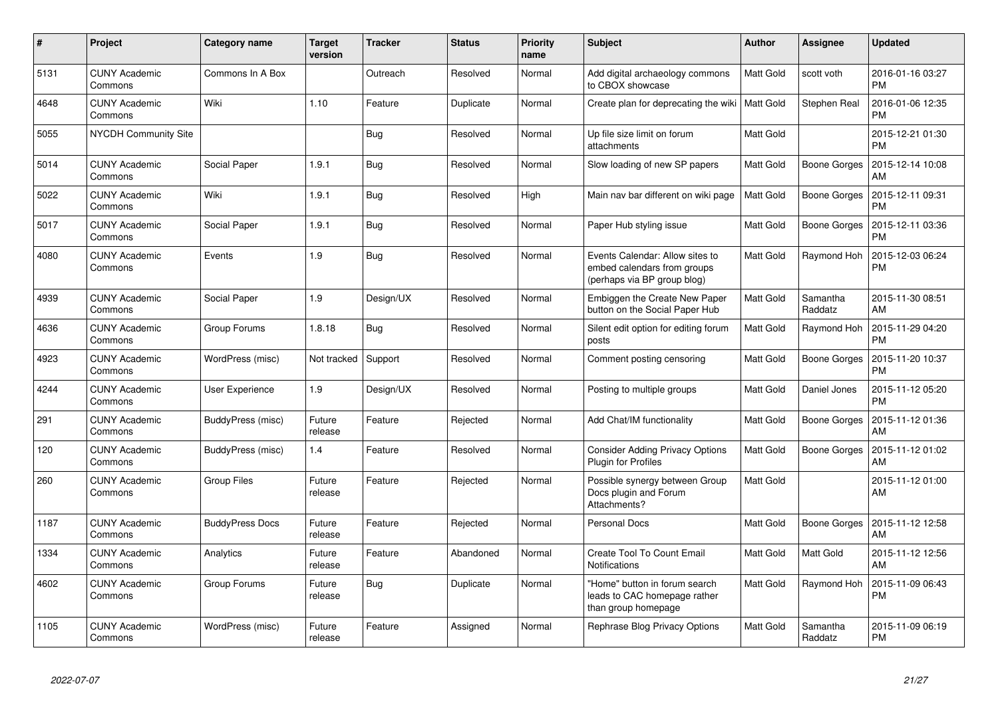| $\pmb{\#}$ | Project                         | Category name          | <b>Target</b><br>version | <b>Tracker</b> | <b>Status</b> | <b>Priority</b><br>name | <b>Subject</b>                                                                                | Author           | Assignee            | <b>Updated</b>                |
|------------|---------------------------------|------------------------|--------------------------|----------------|---------------|-------------------------|-----------------------------------------------------------------------------------------------|------------------|---------------------|-------------------------------|
| 5131       | <b>CUNY Academic</b><br>Commons | Commons In A Box       |                          | Outreach       | Resolved      | Normal                  | Add digital archaeology commons<br>to CBOX showcase                                           | <b>Matt Gold</b> | scott voth          | 2016-01-16 03:27<br><b>PM</b> |
| 4648       | <b>CUNY Academic</b><br>Commons | Wiki                   | 1.10                     | Feature        | Duplicate     | Normal                  | Create plan for deprecating the wiki   Matt Gold                                              |                  | Stephen Real        | 2016-01-06 12:35<br><b>PM</b> |
| 5055       | <b>NYCDH Community Site</b>     |                        |                          | Bug            | Resolved      | Normal                  | Up file size limit on forum<br>attachments                                                    | Matt Gold        |                     | 2015-12-21 01:30<br><b>PM</b> |
| 5014       | <b>CUNY Academic</b><br>Commons | Social Paper           | 1.9.1                    | <b>Bug</b>     | Resolved      | Normal                  | Slow loading of new SP papers                                                                 | Matt Gold        | Boone Gorges        | 2015-12-14 10:08<br>AM        |
| 5022       | <b>CUNY Academic</b><br>Commons | Wiki                   | 1.9.1                    | Bug            | Resolved      | High                    | Main nav bar different on wiki page                                                           | Matt Gold        | Boone Gorges        | 2015-12-11 09:31<br><b>PM</b> |
| 5017       | <b>CUNY Academic</b><br>Commons | Social Paper           | 1.9.1                    | Bug            | Resolved      | Normal                  | Paper Hub styling issue                                                                       | Matt Gold        | Boone Gorges        | 2015-12-11 03:36<br><b>PM</b> |
| 4080       | <b>CUNY Academic</b><br>Commons | Events                 | 1.9                      | Bug            | Resolved      | Normal                  | Events Calendar: Allow sites to<br>embed calendars from groups<br>(perhaps via BP group blog) | Matt Gold        | Raymond Hoh         | 2015-12-03 06:24<br><b>PM</b> |
| 4939       | <b>CUNY Academic</b><br>Commons | Social Paper           | 1.9                      | Design/UX      | Resolved      | Normal                  | Embiggen the Create New Paper<br>button on the Social Paper Hub                               | Matt Gold        | Samantha<br>Raddatz | 2015-11-30 08:51<br>AM        |
| 4636       | <b>CUNY Academic</b><br>Commons | Group Forums           | 1.8.18                   | Bug            | Resolved      | Normal                  | Silent edit option for editing forum<br>posts                                                 | <b>Matt Gold</b> | Raymond Hoh         | 2015-11-29 04:20<br><b>PM</b> |
| 4923       | <b>CUNY Academic</b><br>Commons | WordPress (misc)       | Not tracked              | Support        | Resolved      | Normal                  | Comment posting censoring                                                                     | Matt Gold        | Boone Gorges        | 2015-11-20 10:37<br><b>PM</b> |
| 4244       | <b>CUNY Academic</b><br>Commons | User Experience        | 1.9                      | Design/UX      | Resolved      | Normal                  | Posting to multiple groups                                                                    | Matt Gold        | Daniel Jones        | 2015-11-12 05:20<br><b>PM</b> |
| 291        | <b>CUNY Academic</b><br>Commons | BuddyPress (misc)      | Future<br>release        | Feature        | Rejected      | Normal                  | Add Chat/IM functionality                                                                     | Matt Gold        | Boone Gorges        | 2015-11-12 01:36<br>AM        |
| 120        | <b>CUNY Academic</b><br>Commons | BuddyPress (misc)      | 1.4                      | Feature        | Resolved      | Normal                  | <b>Consider Adding Privacy Options</b><br>Plugin for Profiles                                 | Matt Gold        | Boone Gorges        | 2015-11-12 01:02<br>AM        |
| 260        | <b>CUNY Academic</b><br>Commons | <b>Group Files</b>     | Future<br>release        | Feature        | Rejected      | Normal                  | Possible synergy between Group<br>Docs plugin and Forum<br>Attachments?                       | Matt Gold        |                     | 2015-11-12 01:00<br>AM        |
| 1187       | <b>CUNY Academic</b><br>Commons | <b>BuddyPress Docs</b> | Future<br>release        | Feature        | Rejected      | Normal                  | <b>Personal Docs</b>                                                                          | Matt Gold        | Boone Gorges        | 2015-11-12 12:58<br>AM        |
| 1334       | <b>CUNY Academic</b><br>Commons | Analytics              | Future<br>release        | Feature        | Abandoned     | Normal                  | Create Tool To Count Email<br><b>Notifications</b>                                            | Matt Gold        | Matt Gold           | 2015-11-12 12:56<br>AM        |
| 4602       | <b>CUNY Academic</b><br>Commons | Group Forums           | Future<br>release        | <b>Bug</b>     | Duplicate     | Normal                  | 'Home" button in forum search<br>leads to CAC homepage rather<br>than group homepage          | Matt Gold        | Raymond Hoh         | 2015-11-09 06:43<br>PM        |
| 1105       | <b>CUNY Academic</b><br>Commons | WordPress (misc)       | Future<br>release        | Feature        | Assigned      | Normal                  | Rephrase Blog Privacy Options                                                                 | Matt Gold        | Samantha<br>Raddatz | 2015-11-09 06:19<br><b>PM</b> |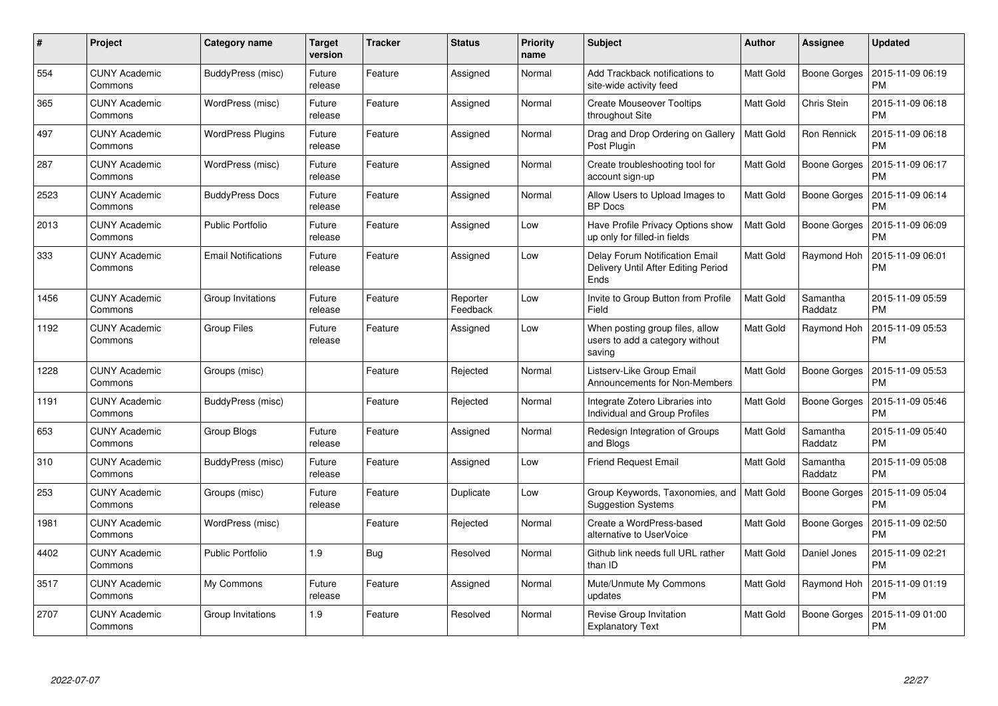| $\#$ | Project                         | Category name              | <b>Target</b><br>version | <b>Tracker</b> | <b>Status</b>        | <b>Priority</b><br>name | <b>Subject</b>                                                                | <b>Author</b> | <b>Assignee</b>     | <b>Updated</b>                |
|------|---------------------------------|----------------------------|--------------------------|----------------|----------------------|-------------------------|-------------------------------------------------------------------------------|---------------|---------------------|-------------------------------|
| 554  | <b>CUNY Academic</b><br>Commons | BuddyPress (misc)          | Future<br>release        | Feature        | Assigned             | Normal                  | Add Trackback notifications to<br>site-wide activity feed                     | Matt Gold     | Boone Gorges        | 2015-11-09 06:19<br><b>PM</b> |
| 365  | <b>CUNY Academic</b><br>Commons | WordPress (misc)           | Future<br>release        | Feature        | Assigned             | Normal                  | <b>Create Mouseover Tooltips</b><br>throughout Site                           | Matt Gold     | Chris Stein         | 2015-11-09 06:18<br><b>PM</b> |
| 497  | <b>CUNY Academic</b><br>Commons | <b>WordPress Plugins</b>   | Future<br>release        | Feature        | Assigned             | Normal                  | Drag and Drop Ordering on Gallery<br>Post Plugin                              | Matt Gold     | Ron Rennick         | 2015-11-09 06:18<br><b>PM</b> |
| 287  | <b>CUNY Academic</b><br>Commons | WordPress (misc)           | Future<br>release        | Feature        | Assigned             | Normal                  | Create troubleshooting tool for<br>account sign-up                            | Matt Gold     | <b>Boone Gorges</b> | 2015-11-09 06:17<br><b>PM</b> |
| 2523 | <b>CUNY Academic</b><br>Commons | <b>BuddyPress Docs</b>     | Future<br>release        | Feature        | Assigned             | Normal                  | Allow Users to Upload Images to<br><b>BP</b> Docs                             | Matt Gold     | Boone Gorges        | 2015-11-09 06:14<br><b>PM</b> |
| 2013 | <b>CUNY Academic</b><br>Commons | <b>Public Portfolio</b>    | Future<br>release        | Feature        | Assigned             | Low                     | Have Profile Privacy Options show<br>up only for filled-in fields             | Matt Gold     | Boone Gorges        | 2015-11-09 06:09<br><b>PM</b> |
| 333  | <b>CUNY Academic</b><br>Commons | <b>Email Notifications</b> | Future<br>release        | Feature        | Assigned             | Low                     | Delay Forum Notification Email<br>Delivery Until After Editing Period<br>Ends | Matt Gold     | Raymond Hoh         | 2015-11-09 06:01<br><b>PM</b> |
| 1456 | <b>CUNY Academic</b><br>Commons | Group Invitations          | Future<br>release        | Feature        | Reporter<br>Feedback | Low                     | Invite to Group Button from Profile<br>Field                                  | Matt Gold     | Samantha<br>Raddatz | 2015-11-09 05:59<br><b>PM</b> |
| 1192 | <b>CUNY Academic</b><br>Commons | <b>Group Files</b>         | Future<br>release        | Feature        | Assigned             | Low                     | When posting group files, allow<br>users to add a category without<br>saving  | Matt Gold     | Raymond Hoh         | 2015-11-09 05:53<br><b>PM</b> |
| 1228 | <b>CUNY Academic</b><br>Commons | Groups (misc)              |                          | Feature        | Rejected             | Normal                  | Listserv-Like Group Email<br>Announcements for Non-Members                    | Matt Gold     | Boone Gorges        | 2015-11-09 05:53<br><b>PM</b> |
| 1191 | <b>CUNY Academic</b><br>Commons | BuddyPress (misc)          |                          | Feature        | Rejected             | Normal                  | Integrate Zotero Libraries into<br>Individual and Group Profiles              | Matt Gold     | Boone Gorges        | 2015-11-09 05:46<br><b>PM</b> |
| 653  | <b>CUNY Academic</b><br>Commons | Group Blogs                | Future<br>release        | Feature        | Assigned             | Normal                  | Redesign Integration of Groups<br>and Blogs                                   | Matt Gold     | Samantha<br>Raddatz | 2015-11-09 05:40<br><b>PM</b> |
| 310  | <b>CUNY Academic</b><br>Commons | BuddyPress (misc)          | Future<br>release        | Feature        | Assigned             | Low                     | <b>Friend Request Email</b>                                                   | Matt Gold     | Samantha<br>Raddatz | 2015-11-09 05:08<br><b>PM</b> |
| 253  | CUNY Academic<br>Commons        | Groups (misc)              | Future<br>release        | Feature        | Duplicate            | Low                     | Group Keywords, Taxonomies, and<br><b>Suggestion Systems</b>                  | Matt Gold     | Boone Gorges        | 2015-11-09 05:04<br><b>PM</b> |
| 1981 | <b>CUNY Academic</b><br>Commons | WordPress (misc)           |                          | Feature        | Rejected             | Normal                  | Create a WordPress-based<br>alternative to UserVoice                          | Matt Gold     | Boone Gorges        | 2015-11-09 02:50<br><b>PM</b> |
| 4402 | <b>CUNY Academic</b><br>Commons | <b>Public Portfolio</b>    | 1.9                      | Bug            | Resolved             | Normal                  | Github link needs full URL rather<br>than ID                                  | Matt Gold     | Daniel Jones        | 2015-11-09 02:21<br><b>PM</b> |
| 3517 | CUNY Academic<br>Commons        | My Commons                 | Future<br>release        | Feature        | Assigned             | Normal                  | Mute/Unmute My Commons<br>updates                                             | Matt Gold     | Raymond Hoh         | 2015-11-09 01:19<br><b>PM</b> |
| 2707 | <b>CUNY Academic</b><br>Commons | Group Invitations          | 1.9                      | Feature        | Resolved             | Normal                  | Revise Group Invitation<br><b>Explanatory Text</b>                            | Matt Gold     | Boone Gorges        | 2015-11-09 01:00<br><b>PM</b> |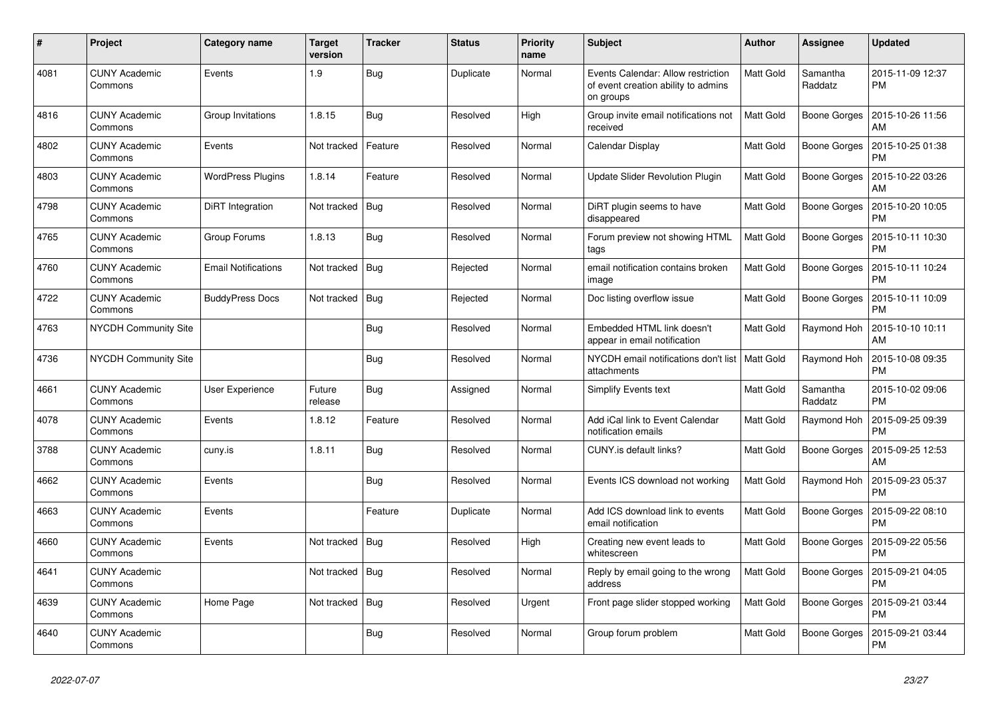| #    | Project                         | Category name              | <b>Target</b><br>version | <b>Tracker</b> | <b>Status</b> | <b>Priority</b><br>name | <b>Subject</b>                                                                         | <b>Author</b>    | Assignee            | <b>Updated</b>                |
|------|---------------------------------|----------------------------|--------------------------|----------------|---------------|-------------------------|----------------------------------------------------------------------------------------|------------------|---------------------|-------------------------------|
| 4081 | <b>CUNY Academic</b><br>Commons | Events                     | 1.9                      | <b>Bug</b>     | Duplicate     | Normal                  | Events Calendar: Allow restriction<br>of event creation ability to admins<br>on groups | Matt Gold        | Samantha<br>Raddatz | 2015-11-09 12:37<br><b>PM</b> |
| 4816 | <b>CUNY Academic</b><br>Commons | Group Invitations          | 1.8.15                   | <b>Bug</b>     | Resolved      | High                    | Group invite email notifications not<br>received                                       | <b>Matt Gold</b> | Boone Gorges        | 2015-10-26 11:56<br>AM        |
| 4802 | <b>CUNY Academic</b><br>Commons | Events                     | Not tracked              | Feature        | Resolved      | Normal                  | Calendar Display                                                                       | Matt Gold        | Boone Gorges        | 2015-10-25 01:38<br><b>PM</b> |
| 4803 | <b>CUNY Academic</b><br>Commons | <b>WordPress Plugins</b>   | 1.8.14                   | Feature        | Resolved      | Normal                  | Update Slider Revolution Plugin                                                        | Matt Gold        | Boone Gorges        | 2015-10-22 03:26<br>AM        |
| 4798 | <b>CUNY Academic</b><br>Commons | DiRT Integration           | Not tracked              | <b>Bug</b>     | Resolved      | Normal                  | DiRT plugin seems to have<br>disappeared                                               | Matt Gold        | Boone Gorges        | 2015-10-20 10:05<br><b>PM</b> |
| 4765 | <b>CUNY Academic</b><br>Commons | Group Forums               | 1.8.13                   | Bug            | Resolved      | Normal                  | Forum preview not showing HTML<br>tags                                                 | Matt Gold        | Boone Gorges        | 2015-10-11 10:30<br><b>PM</b> |
| 4760 | <b>CUNY Academic</b><br>Commons | <b>Email Notifications</b> | Not tracked              | Bug            | Rejected      | Normal                  | email notification contains broken<br>image                                            | Matt Gold        | Boone Gorges        | 2015-10-11 10:24<br><b>PM</b> |
| 4722 | <b>CUNY Academic</b><br>Commons | <b>BuddyPress Docs</b>     | Not tracked              | <b>Bug</b>     | Rejected      | Normal                  | Doc listing overflow issue                                                             | Matt Gold        | Boone Gorges        | 2015-10-11 10:09<br><b>PM</b> |
| 4763 | <b>NYCDH Community Site</b>     |                            |                          | <b>Bug</b>     | Resolved      | Normal                  | Embedded HTML link doesn't<br>appear in email notification                             | Matt Gold        | Raymond Hoh         | 2015-10-10 10:11<br>AM        |
| 4736 | <b>NYCDH Community Site</b>     |                            |                          | Bug            | Resolved      | Normal                  | NYCDH email notifications don't list<br>attachments                                    | l Matt Gold      | Raymond Hoh         | 2015-10-08 09:35<br><b>PM</b> |
| 4661 | <b>CUNY Academic</b><br>Commons | User Experience            | Future<br>release        | Bug            | Assigned      | Normal                  | <b>Simplify Events text</b>                                                            | Matt Gold        | Samantha<br>Raddatz | 2015-10-02 09:06<br><b>PM</b> |
| 4078 | <b>CUNY Academic</b><br>Commons | Events                     | 1.8.12                   | Feature        | Resolved      | Normal                  | Add iCal link to Event Calendar<br>notification emails                                 | Matt Gold        | Raymond Hoh         | 2015-09-25 09:39<br><b>PM</b> |
| 3788 | <b>CUNY Academic</b><br>Commons | cuny.is                    | 1.8.11                   | <b>Bug</b>     | Resolved      | Normal                  | CUNY.is default links?                                                                 | <b>Matt Gold</b> | Boone Gorges        | 2015-09-25 12:53<br>AM        |
| 4662 | <b>CUNY Academic</b><br>Commons | Events                     |                          | Bug            | Resolved      | Normal                  | Events ICS download not working                                                        | Matt Gold        | Raymond Hoh         | 2015-09-23 05:37<br><b>PM</b> |
| 4663 | <b>CUNY Academic</b><br>Commons | Events                     |                          | Feature        | Duplicate     | Normal                  | Add ICS download link to events<br>email notification                                  | <b>Matt Gold</b> | Boone Gorges        | 2015-09-22 08:10<br><b>PM</b> |
| 4660 | <b>CUNY Academic</b><br>Commons | Events                     | Not tracked              | <b>Bug</b>     | Resolved      | High                    | Creating new event leads to<br>whitescreen                                             | Matt Gold        | <b>Boone Gorges</b> | 2015-09-22 05:56<br><b>PM</b> |
| 4641 | <b>CUNY Academic</b><br>Commons |                            | Not tracked              | <b>Bug</b>     | Resolved      | Normal                  | Reply by email going to the wrong<br>address                                           | Matt Gold        | Boone Gorges        | 2015-09-21 04:05<br><b>PM</b> |
| 4639 | <b>CUNY Academic</b><br>Commons | Home Page                  | Not tracked              | <b>Bug</b>     | Resolved      | Urgent                  | Front page slider stopped working                                                      | Matt Gold        | Boone Gorges        | 2015-09-21 03:44<br><b>PM</b> |
| 4640 | <b>CUNY Academic</b><br>Commons |                            |                          | <b>Bug</b>     | Resolved      | Normal                  | Group forum problem                                                                    | Matt Gold        | Boone Gorges        | 2015-09-21 03:44<br><b>PM</b> |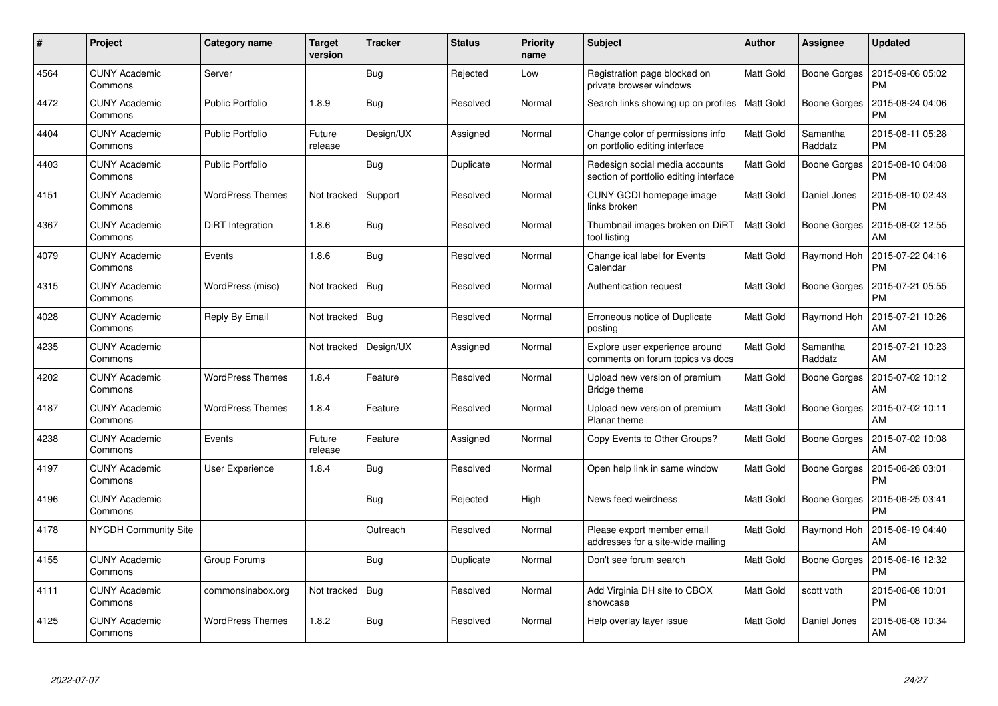| #    | Project                         | Category name           | Target<br>version | <b>Tracker</b> | <b>Status</b> | <b>Priority</b><br>name | <b>Subject</b>                                                           | <b>Author</b> | Assignee            | <b>Updated</b>                |
|------|---------------------------------|-------------------------|-------------------|----------------|---------------|-------------------------|--------------------------------------------------------------------------|---------------|---------------------|-------------------------------|
| 4564 | <b>CUNY Academic</b><br>Commons | Server                  |                   | <b>Bug</b>     | Rejected      | Low                     | Registration page blocked on<br>private browser windows                  | Matt Gold     | Boone Gorges        | 2015-09-06 05:02<br><b>PM</b> |
| 4472 | <b>CUNY Academic</b><br>Commons | <b>Public Portfolio</b> | 1.8.9             | <b>Bug</b>     | Resolved      | Normal                  | Search links showing up on profiles                                      | Matt Gold     | <b>Boone Gorges</b> | 2015-08-24 04:06<br><b>PM</b> |
| 4404 | <b>CUNY Academic</b><br>Commons | <b>Public Portfolio</b> | Future<br>release | Design/UX      | Assigned      | Normal                  | Change color of permissions info<br>on portfolio editing interface       | Matt Gold     | Samantha<br>Raddatz | 2015-08-11 05:28<br><b>PM</b> |
| 4403 | <b>CUNY Academic</b><br>Commons | <b>Public Portfolio</b> |                   | <b>Bug</b>     | Duplicate     | Normal                  | Redesign social media accounts<br>section of portfolio editing interface | Matt Gold     | <b>Boone Gorges</b> | 2015-08-10 04:08<br><b>PM</b> |
| 4151 | <b>CUNY Academic</b><br>Commons | <b>WordPress Themes</b> | Not tracked       | Support        | Resolved      | Normal                  | CUNY GCDI homepage image<br>links broken                                 | Matt Gold     | Daniel Jones        | 2015-08-10 02:43<br><b>PM</b> |
| 4367 | <b>CUNY Academic</b><br>Commons | <b>DiRT</b> Integration | 1.8.6             | <b>Bug</b>     | Resolved      | Normal                  | Thumbnail images broken on DiRT<br>tool listing                          | Matt Gold     | <b>Boone Gorges</b> | 2015-08-02 12:55<br>AM        |
| 4079 | <b>CUNY Academic</b><br>Commons | Events                  | 1.8.6             | Bug            | Resolved      | Normal                  | Change ical label for Events<br>Calendar                                 | Matt Gold     | Raymond Hoh         | 2015-07-22 04:16<br><b>PM</b> |
| 4315 | <b>CUNY Academic</b><br>Commons | WordPress (misc)        | Not tracked       | Bug            | Resolved      | Normal                  | Authentication request                                                   | Matt Gold     | Boone Gorges        | 2015-07-21 05:55<br><b>PM</b> |
| 4028 | <b>CUNY Academic</b><br>Commons | Reply By Email          | Not tracked       | Bug            | Resolved      | Normal                  | Erroneous notice of Duplicate<br>posting                                 | Matt Gold     | Raymond Hoh         | 2015-07-21 10:26<br>AM        |
| 4235 | <b>CUNY Academic</b><br>Commons |                         | Not tracked       | Design/UX      | Assigned      | Normal                  | Explore user experience around<br>comments on forum topics vs docs       | Matt Gold     | Samantha<br>Raddatz | 2015-07-21 10:23<br>AM        |
| 4202 | <b>CUNY Academic</b><br>Commons | <b>WordPress Themes</b> | 1.8.4             | Feature        | Resolved      | Normal                  | Upload new version of premium<br>Bridge theme                            | Matt Gold     | <b>Boone Gorges</b> | 2015-07-02 10:12<br>AM        |
| 4187 | <b>CUNY Academic</b><br>Commons | <b>WordPress Themes</b> | 1.8.4             | Feature        | Resolved      | Normal                  | Upload new version of premium<br>Planar theme                            | Matt Gold     | Boone Gorges        | 2015-07-02 10:11<br>AM        |
| 4238 | <b>CUNY Academic</b><br>Commons | Events                  | Future<br>release | Feature        | Assigned      | Normal                  | Copy Events to Other Groups?                                             | Matt Gold     | Boone Gorges        | 2015-07-02 10:08<br>AM        |
| 4197 | <b>CUNY Academic</b><br>Commons | User Experience         | 1.8.4             | <b>Bug</b>     | Resolved      | Normal                  | Open help link in same window                                            | Matt Gold     | <b>Boone Gorges</b> | 2015-06-26 03:01<br><b>PM</b> |
| 4196 | <b>CUNY Academic</b><br>Commons |                         |                   | Bug            | Rejected      | High                    | News feed weirdness                                                      | Matt Gold     | Boone Gorges        | 2015-06-25 03:41<br><b>PM</b> |
| 4178 | <b>NYCDH Community Site</b>     |                         |                   | Outreach       | Resolved      | Normal                  | Please export member email<br>addresses for a site-wide mailing          | Matt Gold     | Raymond Hoh         | 2015-06-19 04:40<br>AM        |
| 4155 | <b>CUNY Academic</b><br>Commons | Group Forums            |                   | Bug            | Duplicate     | Normal                  | Don't see forum search                                                   | Matt Gold     | Boone Gorges        | 2015-06-16 12:32<br><b>PM</b> |
| 4111 | <b>CUNY Academic</b><br>Commons | commonsinabox.org       | Not tracked       | <b>Bug</b>     | Resolved      | Normal                  | Add Virginia DH site to CBOX<br>showcase                                 | Matt Gold     | scott voth          | 2015-06-08 10:01<br><b>PM</b> |
| 4125 | CUNY Academic<br>Commons        | <b>WordPress Themes</b> | 1.8.2             | Bug            | Resolved      | Normal                  | Help overlay layer issue                                                 | Matt Gold     | Daniel Jones        | 2015-06-08 10:34<br>AM        |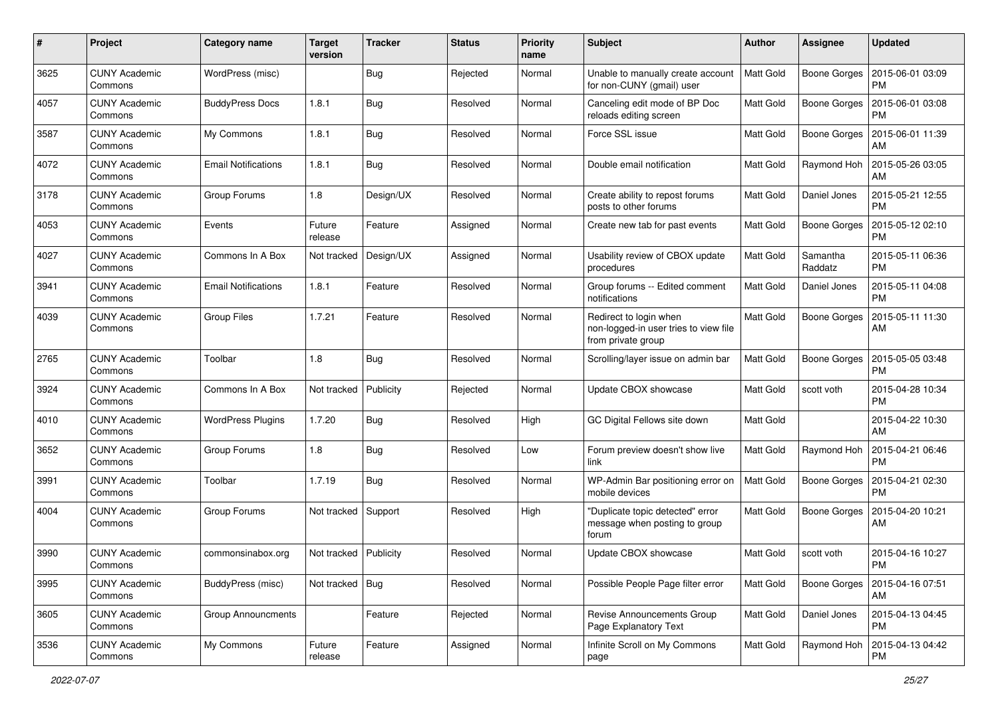| #    | Project                         | <b>Category name</b>       | <b>Target</b><br>version | <b>Tracker</b> | <b>Status</b> | <b>Priority</b><br>name | <b>Subject</b>                                                                        | Author           | <b>Assignee</b>     | <b>Updated</b>                |
|------|---------------------------------|----------------------------|--------------------------|----------------|---------------|-------------------------|---------------------------------------------------------------------------------------|------------------|---------------------|-------------------------------|
| 3625 | <b>CUNY Academic</b><br>Commons | WordPress (misc)           |                          | Bug            | Rejected      | Normal                  | Unable to manually create account<br>for non-CUNY (gmail) user                        | Matt Gold        | <b>Boone Gorges</b> | 2015-06-01 03:09<br><b>PM</b> |
| 4057 | <b>CUNY Academic</b><br>Commons | <b>BuddyPress Docs</b>     | 1.8.1                    | <b>Bug</b>     | Resolved      | Normal                  | Canceling edit mode of BP Doc<br>reloads editing screen                               | Matt Gold        | <b>Boone Gorges</b> | 2015-06-01 03:08<br><b>PM</b> |
| 3587 | CUNY Academic<br>Commons        | My Commons                 | 1.8.1                    | Bug            | Resolved      | Normal                  | Force SSL issue                                                                       | Matt Gold        | <b>Boone Gorges</b> | 2015-06-01 11:39<br>AM        |
| 4072 | <b>CUNY Academic</b><br>Commons | <b>Email Notifications</b> | 1.8.1                    | Bug            | Resolved      | Normal                  | Double email notification                                                             | <b>Matt Gold</b> | Raymond Hoh         | 2015-05-26 03:05<br>AM        |
| 3178 | <b>CUNY Academic</b><br>Commons | Group Forums               | 1.8                      | Design/UX      | Resolved      | Normal                  | Create ability to repost forums<br>posts to other forums                              | Matt Gold        | Daniel Jones        | 2015-05-21 12:55<br><b>PM</b> |
| 4053 | <b>CUNY Academic</b><br>Commons | Events                     | Future<br>release        | Feature        | Assigned      | Normal                  | Create new tab for past events                                                        | Matt Gold        | <b>Boone Gorges</b> | 2015-05-12 02:10<br><b>PM</b> |
| 4027 | <b>CUNY Academic</b><br>Commons | Commons In A Box           | Not tracked              | Design/UX      | Assigned      | Normal                  | Usability review of CBOX update<br>procedures                                         | Matt Gold        | Samantha<br>Raddatz | 2015-05-11 06:36<br><b>PM</b> |
| 3941 | <b>CUNY Academic</b><br>Commons | <b>Email Notifications</b> | 1.8.1                    | Feature        | Resolved      | Normal                  | Group forums -- Edited comment<br>notifications                                       | Matt Gold        | Daniel Jones        | 2015-05-11 04:08<br><b>PM</b> |
| 4039 | <b>CUNY Academic</b><br>Commons | <b>Group Files</b>         | 1.7.21                   | Feature        | Resolved      | Normal                  | Redirect to login when<br>non-logged-in user tries to view file<br>from private group | Matt Gold        | Boone Gorges        | 2015-05-11 11:30<br>AM        |
| 2765 | <b>CUNY Academic</b><br>Commons | Toolbar                    | 1.8                      | Bug            | Resolved      | Normal                  | Scrolling/layer issue on admin bar                                                    | <b>Matt Gold</b> | <b>Boone Gorges</b> | 2015-05-05 03:48<br><b>PM</b> |
| 3924 | <b>CUNY Academic</b><br>Commons | Commons In A Box           | Not tracked              | Publicity      | Rejected      | Normal                  | Update CBOX showcase                                                                  | Matt Gold        | scott voth          | 2015-04-28 10:34<br><b>PM</b> |
| 4010 | <b>CUNY Academic</b><br>Commons | <b>WordPress Plugins</b>   | 1.7.20                   | Bug            | Resolved      | High                    | GC Digital Fellows site down                                                          | Matt Gold        |                     | 2015-04-22 10:30<br>AM        |
| 3652 | <b>CUNY Academic</b><br>Commons | Group Forums               | 1.8                      | Bug            | Resolved      | Low                     | Forum preview doesn't show live<br>link                                               | Matt Gold        | Raymond Hoh         | 2015-04-21 06:46<br><b>PM</b> |
| 3991 | <b>CUNY Academic</b><br>Commons | Toolbar                    | 1.7.19                   | Bug            | Resolved      | Normal                  | WP-Admin Bar positioning error on<br>mobile devices                                   | Matt Gold        | Boone Gorges        | 2015-04-21 02:30<br><b>PM</b> |
| 4004 | CUNY Academic<br>Commons        | Group Forums               | Not tracked              | Support        | Resolved      | High                    | "Duplicate topic detected" error<br>message when posting to group<br>forum            | Matt Gold        | <b>Boone Gorges</b> | 2015-04-20 10:21<br>AM        |
| 3990 | <b>CUNY Academic</b><br>Commons | commonsinabox.org          | Not tracked   Publicity  |                | Resolved      | Normal                  | Update CBOX showcase                                                                  | Matt Gold        | scott voth          | 2015-04-16 10:27<br>PM        |
| 3995 | <b>CUNY Academic</b><br>Commons | BuddyPress (misc)          | Not tracked              | Bug            | Resolved      | Normal                  | Possible People Page filter error                                                     | Matt Gold        | Boone Gorges        | 2015-04-16 07:51<br>AM        |
| 3605 | <b>CUNY Academic</b><br>Commons | <b>Group Announcments</b>  |                          | Feature        | Rejected      | Normal                  | Revise Announcements Group<br>Page Explanatory Text                                   | Matt Gold        | Daniel Jones        | 2015-04-13 04:45<br><b>PM</b> |
| 3536 | <b>CUNY Academic</b><br>Commons | My Commons                 | Future<br>release        | Feature        | Assigned      | Normal                  | Infinite Scroll on My Commons<br>page                                                 | Matt Gold        | Raymond Hoh         | 2015-04-13 04:42<br><b>PM</b> |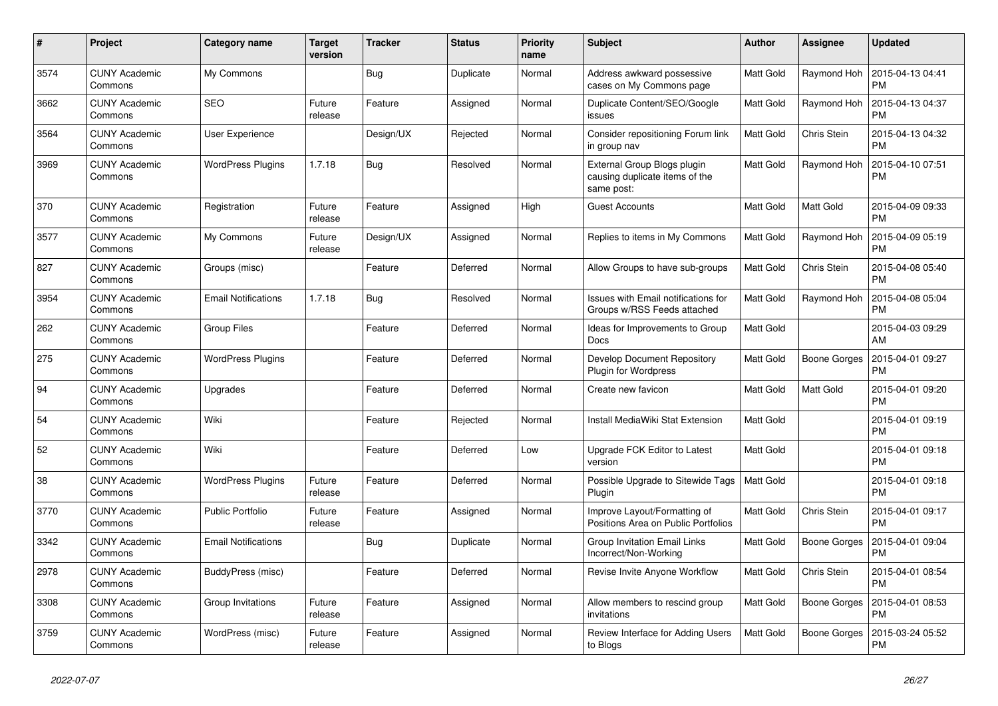| $\#$ | Project                         | Category name              | <b>Target</b><br>version | <b>Tracker</b> | <b>Status</b> | <b>Priority</b><br>name | <b>Subject</b>                                                              | <b>Author</b> | Assignee            | <b>Updated</b>                |
|------|---------------------------------|----------------------------|--------------------------|----------------|---------------|-------------------------|-----------------------------------------------------------------------------|---------------|---------------------|-------------------------------|
| 3574 | <b>CUNY Academic</b><br>Commons | My Commons                 |                          | Bug            | Duplicate     | Normal                  | Address awkward possessive<br>cases on My Commons page                      | Matt Gold     | Raymond Hoh         | 2015-04-13 04:41<br><b>PM</b> |
| 3662 | <b>CUNY Academic</b><br>Commons | <b>SEO</b>                 | Future<br>release        | Feature        | Assigned      | Normal                  | Duplicate Content/SEO/Google<br>issues                                      | Matt Gold     | Raymond Hoh         | 2015-04-13 04:37<br><b>PM</b> |
| 3564 | <b>CUNY Academic</b><br>Commons | User Experience            |                          | Design/UX      | Rejected      | Normal                  | Consider repositioning Forum link<br>in group nav                           | Matt Gold     | Chris Stein         | 2015-04-13 04:32<br><b>PM</b> |
| 3969 | <b>CUNY Academic</b><br>Commons | <b>WordPress Plugins</b>   | 1.7.18                   | Bug            | Resolved      | Normal                  | External Group Blogs plugin<br>causing duplicate items of the<br>same post: | Matt Gold     | Raymond Hoh         | 2015-04-10 07:51<br><b>PM</b> |
| 370  | <b>CUNY Academic</b><br>Commons | Registration               | Future<br>release        | Feature        | Assigned      | High                    | <b>Guest Accounts</b>                                                       | Matt Gold     | Matt Gold           | 2015-04-09 09:33<br><b>PM</b> |
| 3577 | CUNY Academic<br>Commons        | My Commons                 | Future<br>release        | Design/UX      | Assigned      | Normal                  | Replies to items in My Commons                                              | Matt Gold     | Raymond Hoh         | 2015-04-09 05:19<br><b>PM</b> |
| 827  | <b>CUNY Academic</b><br>Commons | Groups (misc)              |                          | Feature        | Deferred      | Normal                  | Allow Groups to have sub-groups                                             | Matt Gold     | Chris Stein         | 2015-04-08 05:40<br><b>PM</b> |
| 3954 | <b>CUNY Academic</b><br>Commons | <b>Email Notifications</b> | 1.7.18                   | Bug            | Resolved      | Normal                  | Issues with Email notifications for<br>Groups w/RSS Feeds attached          | Matt Gold     | Raymond Hoh         | 2015-04-08 05:04<br><b>PM</b> |
| 262  | <b>CUNY Academic</b><br>Commons | <b>Group Files</b>         |                          | Feature        | Deferred      | Normal                  | Ideas for Improvements to Group<br>Docs                                     | Matt Gold     |                     | 2015-04-03 09:29<br>AM        |
| 275  | <b>CUNY Academic</b><br>Commons | <b>WordPress Plugins</b>   |                          | Feature        | Deferred      | Normal                  | Develop Document Repository<br><b>Plugin for Wordpress</b>                  | Matt Gold     | <b>Boone Gorges</b> | 2015-04-01 09:27<br><b>PM</b> |
| 94   | <b>CUNY Academic</b><br>Commons | Upgrades                   |                          | Feature        | Deferred      | Normal                  | Create new favicon                                                          | Matt Gold     | Matt Gold           | 2015-04-01 09:20<br><b>PM</b> |
| 54   | <b>CUNY Academic</b><br>Commons | Wiki                       |                          | Feature        | Rejected      | Normal                  | Install MediaWiki Stat Extension                                            | Matt Gold     |                     | 2015-04-01 09:19<br><b>PM</b> |
| 52   | <b>CUNY Academic</b><br>Commons | Wiki                       |                          | Feature        | Deferred      | Low                     | Upgrade FCK Editor to Latest<br>version                                     | Matt Gold     |                     | 2015-04-01 09:18<br><b>PM</b> |
| 38   | <b>CUNY Academic</b><br>Commons | <b>WordPress Plugins</b>   | Future<br>release        | Feature        | Deferred      | Normal                  | Possible Upgrade to Sitewide Tags<br>Plugin                                 | Matt Gold     |                     | 2015-04-01 09:18<br><b>PM</b> |
| 3770 | <b>CUNY Academic</b><br>Commons | <b>Public Portfolio</b>    | Future<br>release        | Feature        | Assigned      | Normal                  | Improve Layout/Formatting of<br>Positions Area on Public Portfolios         | Matt Gold     | Chris Stein         | 2015-04-01 09:17<br><b>PM</b> |
| 3342 | <b>CUNY Academic</b><br>Commons | <b>Email Notifications</b> |                          | Bug            | Duplicate     | Normal                  | Group Invitation Email Links<br>Incorrect/Non-Working                       | Matt Gold     | <b>Boone Gorges</b> | 2015-04-01 09:04<br><b>PM</b> |
| 2978 | <b>CUNY Academic</b><br>Commons | BuddyPress (misc)          |                          | Feature        | Deferred      | Normal                  | Revise Invite Anyone Workflow                                               | Matt Gold     | Chris Stein         | 2015-04-01 08:54<br><b>PM</b> |
| 3308 | <b>CUNY Academic</b><br>Commons | Group Invitations          | Future<br>release        | Feature        | Assigned      | Normal                  | Allow members to rescind group<br>invitations                               | Matt Gold     | <b>Boone Gorges</b> | 2015-04-01 08:53<br><b>PM</b> |
| 3759 | <b>CUNY Academic</b><br>Commons | WordPress (misc)           | Future<br>release        | Feature        | Assigned      | Normal                  | Review Interface for Adding Users<br>to Blogs                               | Matt Gold     | <b>Boone Gorges</b> | 2015-03-24 05:52<br><b>PM</b> |